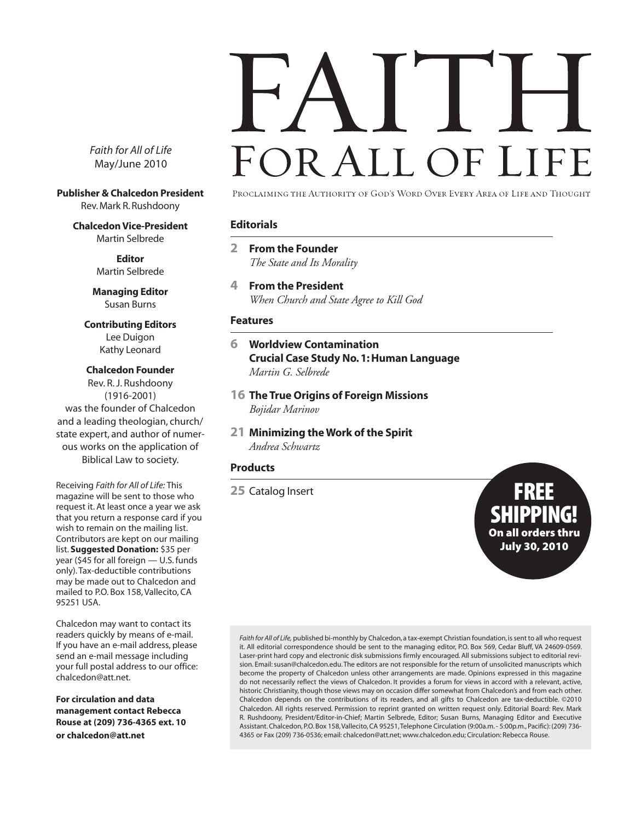FOR ALL OF LI

*Faith for All of Life* May/June 2010

**Publisher & Chalcedon President** Rev. Mark R. Rushdoony

> **Chalcedon Vice-President** Martin Selbrede

> > **Editor** Martin Selbrede

**Managing Editor** Susan Burns

**Contributing Editors** Lee Duigon Kathy Leonard

#### **Chalcedon Founder**

Rev. R. J. Rushdoony (1916-2001) was the founder of Chalcedon and a leading theologian, church/ state expert, and author of numerous works on the application of Biblical Law to society.

Receiving *Faith for All of Life:* This magazine will be sent to those who request it. At least once a year we ask that you return a response card if you wish to remain on the mailing list. Contributors are kept on our mailing list. **Suggested Donation:** \$35 per year (\$45 for all foreign — U.S. funds only). Tax-deductible contributions may be made out to Chalcedon and mailed to P.O. Box 158, Vallecito, CA 95251 USA.

Chalcedon may want to contact its readers quickly by means of e-mail. If you have an e-mail address, please send an e-mail message including your full postal address to our office: chalcedon@att.net.

**For circulation and data management contact Rebecca Rouse at (209) 736-4365 ext. 10 or chalcedon@att.net**

PROCLAIMING THE AUTHORITY OF GOD'S WORD OVER EVERY AREA OF LIFE AND THOUGHT

#### **Editorials**

- **2 From the Founder** *The State and Its Morality*
- **4 From the President** *When Church and State Agree to Kill God*

#### **Features**

#### **6 Worldview Contamination Crucial Case Study No. 1: Human Language** *Martin G. Selbrede*

- **16 The True Origins of Foreign Missions** *Bojidar Marinov*
- **21 Minimizing the Work of the Spirit** *Andrea Schwartz*

#### **Products**

**<sup>25</sup>** Catalog Insert FREE

IPPII On all orders thru July 30, 2010

*Faith for All of Life,* published bi-monthly by Chalcedon, a tax-exempt Christian foundation, is sent to all who request it. All editorial correspondence should be sent to the managing editor, P.O. Box 569, Cedar Bluff, VA 24609-0569. Laser-print hard copy and electronic disk submissions firmly encouraged. All submissions subject to editorial revision. Email: susan@chalcedon.edu. The editors are not responsible for the return of unsolicited manuscripts which become the property of Chalcedon unless other arrangements are made. Opinions expressed in this magazine do not necessarily reflect the views of Chalcedon. It provides a forum for views in accord with a relevant, active, historic Christianity, though those views may on occasion differ somewhat from Chalcedon's and from each other. Chalcedon depends on the contributions of its readers, and all gifts to Chalcedon are tax-deductible. ©2010 Chalcedon. All rights reserved. Permission to reprint granted on written request only. Editorial Board: Rev. Mark R. Rushdoony, President/Editor-in-Chief; Martin Selbrede, Editor; Susan Burns, Managing Editor and Executive Assistant. Chalcedon, P.O. Box 158, Vallecito, CA 95251, Telephone Circulation (9:00a.m. - 5:00p.m., Pacific): (209) 736- 4365 or Fax (209) 736-0536; email: chalcedon@att.net; www.chalcedon.edu; Circulation: Rebecca Rouse.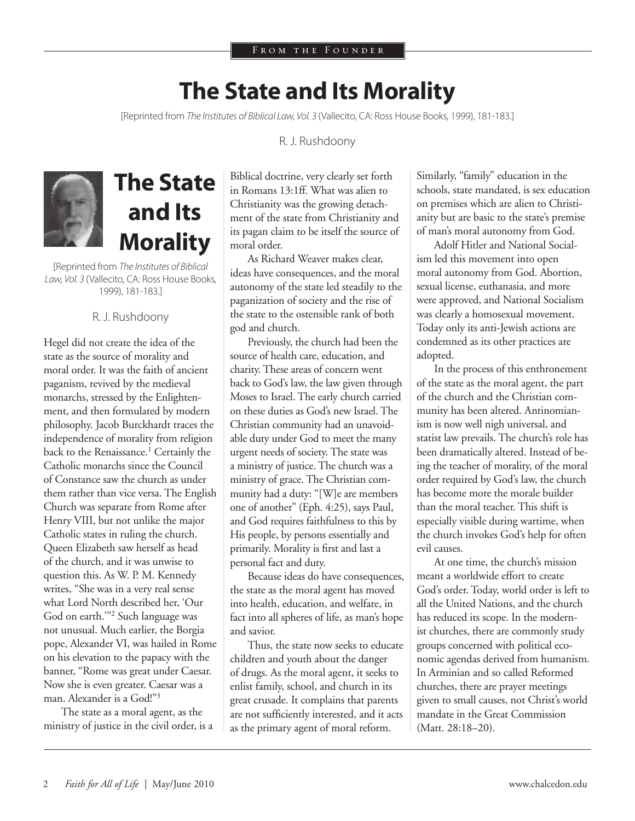### **The State and Its Morality**

[Reprinted from *The Institutes of Biblical Law, Vol. 3* (Vallecito, CA: Ross House Books, 1999), 181-183.]

R. J. Rushdoony



## **The State and Its Morality**

[Reprinted from *The Institutes of Biblical Law, Vol. 3* (Vallecito, CA: Ross House Books, 1999), 181-183.]

#### R. J. Rushdoony

Hegel did not create the idea of the state as the source of morality and moral order. It was the faith of ancient paganism, revived by the medieval monarchs, stressed by the Enlightenment, and then formulated by modern philosophy. Jacob Burckhardt traces the independence of morality from religion back to the Renaissance.<sup>1</sup> Certainly the Catholic monarchs since the Council of Constance saw the church as under them rather than vice versa. The English Church was separate from Rome after Henry VIII, but not unlike the major Catholic states in ruling the church. Queen Elizabeth saw herself as head of the church, and it was unwise to question this. As W. P. M. Kennedy writes, "She was in a very real sense what Lord North described her, 'Our God on earth.'"2 Such language was not unusual. Much earlier, the Borgia pope, Alexander VI, was hailed in Rome on his elevation to the papacy with the banner, "Rome was great under Caesar. Now she is even greater. Caesar was a man. Alexander is a God!"<sup>3</sup>

The state as a moral agent, as the ministry of justice in the civil order, is a

Biblical doctrine, very clearly set forth in Romans 13:1ff. What was alien to Christianity was the growing detachment of the state from Christianity and its pagan claim to be itself the source of moral order.

As Richard Weaver makes clear, ideas have consequences, and the moral autonomy of the state led steadily to the paganization of society and the rise of the state to the ostensible rank of both god and church.

Previously, the church had been the source of health care, education, and charity. These areas of concern went back to God's law, the law given through Moses to Israel. The early church carried on these duties as God's new Israel. The Christian community had an unavoidable duty under God to meet the many urgent needs of society. The state was a ministry of justice. The church was a ministry of grace. The Christian community had a duty: "[W]e are members one of another" (Eph. 4:25), says Paul, and God requires faithfulness to this by His people, by persons essentially and primarily. Morality is first and last a personal fact and duty.

Because ideas do have consequences, the state as the moral agent has moved into health, education, and welfare, in fact into all spheres of life, as man's hope and savior.

Thus, the state now seeks to educate children and youth about the danger of drugs. As the moral agent, it seeks to enlist family, school, and church in its great crusade. It complains that parents are not sufficiently interested, and it acts as the primary agent of moral reform.

Similarly, "family" education in the schools, state mandated, is sex education on premises which are alien to Christianity but are basic to the state's premise of man's moral autonomy from God.

Adolf Hitler and National Socialism led this movement into open moral autonomy from God. Abortion, sexual license, euthanasia, and more were approved, and National Socialism was clearly a homosexual movement. Today only its anti-Jewish actions are condemned as its other practices are adopted.

In the process of this enthronement of the state as the moral agent, the part of the church and the Christian community has been altered. Antinomianism is now well nigh universal, and statist law prevails. The church's role has been dramatically altered. Instead of being the teacher of morality, of the moral order required by God's law, the church has become more the morale builder than the moral teacher. This shift is especially visible during wartime, when the church invokes God's help for often evil causes.

At one time, the church's mission meant a worldwide effort to create God's order. Today, world order is left to all the United Nations, and the church has reduced its scope. In the modernist churches, there are commonly study groups concerned with political economic agendas derived from humanism. In Arminian and so called Reformed churches, there are prayer meetings given to small causes, not Christ's world mandate in the Great Commission (Matt. 28:18–20).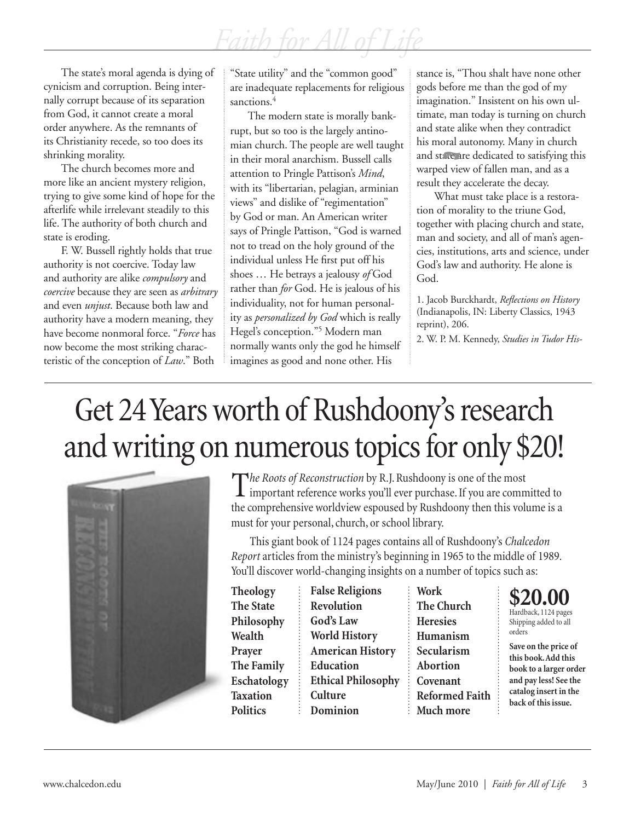The state's moral agenda is dying of cynicism and corruption. Being internally corrupt because of its separation from God, it cannot create a moral order anywhere. As the remnants of its Christianity recede, so too does its shrinking morality.

The church becomes more and more like an ancient mystery religion, trying to give some kind of hope for the afterlife while irrelevant steadily to this life. The authority of both church and state is eroding.

F. W. Bussell rightly holds that true authority is not coercive. Today law and authority are alike *compulsory* and *coercive* because they are seen as *arbitrary* and even *unjust*. Because both law and authority have a modern meaning, they have become nonmoral force. "*Force* has now become the most striking characteristic of the conception of *Law*." Both

"State utility" and the "common good" are inadequate replacements for religious sanctions.<sup>4</sup>

The modern state is morally bankrupt, but so too is the largely antinomian church. The people are well taught in their moral anarchism. Bussell calls attention to Pringle Pattison's *Mind*, with its "libertarian, pelagian, arminian views" and dislike of "regimentation" by God or man. An American writer says of Pringle Pattison, "God is warned not to tread on the holy ground of the individual unless He first put off his shoes … He betrays a jealousy *of* God rather than *for* God. He is jealous of his individuality, not for human personality as *personalized by God* which is really Hegel's conception."5 Modern man normally wants only the god he himself imagines as good and none other. His

stance is, "Thou shalt have none other gods before me than the god of my imagination." Insistent on his own ultimate, man today is turning on church and state alike when they contradict his moral autonomy. Many in church and state are dedicated to satisfying this warped view of fallen man, and as a result they accelerate the decay.

What must take place is a restoration of morality to the triune God, together with placing church and state, man and society, and all of man's agencies, institutions, arts and science, under God's law and authority. He alone is God.

1. Jacob Burckhardt, *Reflections on History* (Indianapolis, IN: Liberty Classics, 1943 reprint), 206.

2. W. P. M. Kennedy, *Studies in Tudor His-*

# Get 24 Years worth of Rushdoony's research and writing on numerous topics for only \$20!



The Roots of Reconstruction by R.J. Rushdoony is one of the most  $\perp$  important reference works you'll ever purchase. If you are committed to the comprehensive worldview espoused by Rushdoony then this volume is a must for your personal, church, or school library.

This giant book of 1124 pages contains all of Rushdoony's *Chalcedon Report* articles from the ministry's beginning in 1965 to the middle of 1989. You'll discover world-changing insights on a number of topics such as:

t,

**Theology The State Philosophy Wealth Prayer The Family Eschatology Taxation Politics**

**False Religions Revolution God's Law World History American History Education Ethical Philosophy Culture Dominion**

**Work The Church Heresies Humanism Secularism Abortion Covenant Reformed Faith Much more**



Shipping added to all orders

**Save on the price of this book. Add this book to a larger order and pay less! See the catalog insert in the back of this issue.**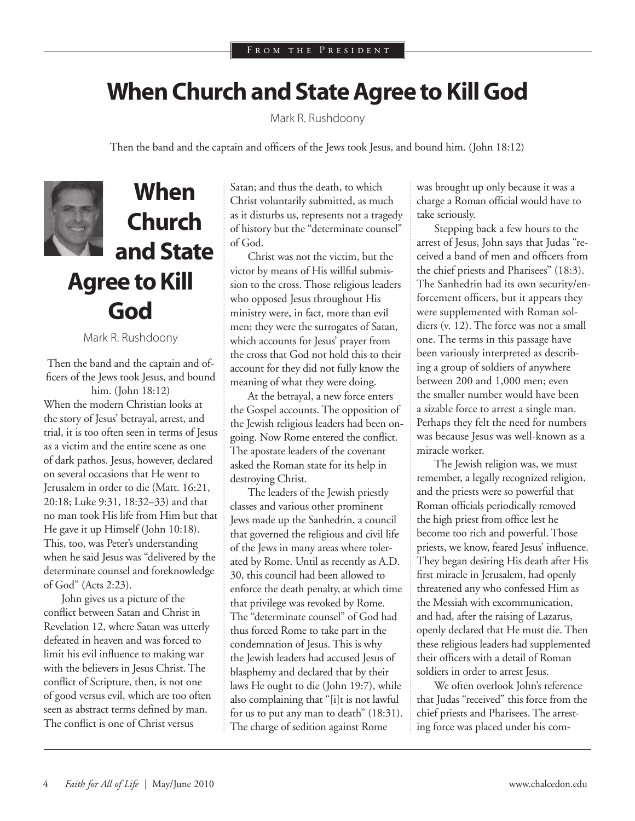### **When Church and State Agree to Kill God**

Mark R. Rushdoony

Then the band and the captain and officers of the Jews took Jesus, and bound him. (John 18:12)



## **When Church and State Agree to Kill God**

Mark R. Rushdoony

Then the band and the captain and officers of the Jews took Jesus, and bound him. (John 18:12)

When the modern Christian looks at the story of Jesus' betrayal, arrest, and trial, it is too often seen in terms of Jesus as a victim and the entire scene as one of dark pathos. Jesus, however, declared on several occasions that He went to Jerusalem in order to die (Matt. 16:21, 20:18; Luke 9:31, 18:32–33) and that no man took His life from Him but that He gave it up Himself (John 10:18). This, too, was Peter's understanding when he said Jesus was "delivered by the determinate counsel and foreknowledge of God" (Acts 2:23).

John gives us a picture of the conflict between Satan and Christ in Revelation 12, where Satan was utterly defeated in heaven and was forced to limit his evil influence to making war with the believers in Jesus Christ. The conflict of Scripture, then, is not one of good versus evil, which are too often seen as abstract terms defined by man. The conflict is one of Christ versus

Satan; and thus the death, to which Christ voluntarily submitted, as much as it disturbs us, represents not a tragedy of history but the "determinate counsel" of God.

Christ was not the victim, but the victor by means of His willful submission to the cross. Those religious leaders who opposed Jesus throughout His ministry were, in fact, more than evil men; they were the surrogates of Satan, which accounts for Jesus' prayer from the cross that God not hold this to their account for they did not fully know the meaning of what they were doing.

At the betrayal, a new force enters the Gospel accounts. The opposition of the Jewish religious leaders had been ongoing. Now Rome entered the conflict. The apostate leaders of the covenant asked the Roman state for its help in destroying Christ.

The leaders of the Jewish priestly classes and various other prominent Jews made up the Sanhedrin, a council that governed the religious and civil life of the Jews in many areas where tolerated by Rome. Until as recently as A.D. 30, this council had been allowed to enforce the death penalty, at which time that privilege was revoked by Rome. The "determinate counsel" of God had thus forced Rome to take part in the condemnation of Jesus. This is why the Jewish leaders had accused Jesus of blasphemy and declared that by their laws He ought to die (John 19:7), while also complaining that "[i]t is not lawful for us to put any man to death" (18:31). The charge of sedition against Rome

was brought up only because it was a charge a Roman official would have to take seriously.

Stepping back a few hours to the arrest of Jesus, John says that Judas "received a band of men and officers from the chief priests and Pharisees" (18:3). The Sanhedrin had its own security/enforcement officers, but it appears they were supplemented with Roman soldiers (v. 12). The force was not a small one. The terms in this passage have been variously interpreted as describing a group of soldiers of anywhere between 200 and 1,000 men; even the smaller number would have been a sizable force to arrest a single man. Perhaps they felt the need for numbers was because Jesus was well-known as a miracle worker.

The Jewish religion was, we must remember, a legally recognized religion, and the priests were so powerful that Roman officials periodically removed the high priest from office lest he become too rich and powerful. Those priests, we know, feared Jesus' influence. They began desiring His death after His first miracle in Jerusalem, had openly threatened any who confessed Him as the Messiah with excommunication, and had, after the raising of Lazarus, openly declared that He must die. Then these religious leaders had supplemented their officers with a detail of Roman soldiers in order to arrest Jesus.

We often overlook John's reference that Judas "received" this force from the chief priests and Pharisees. The arresting force was placed under his com-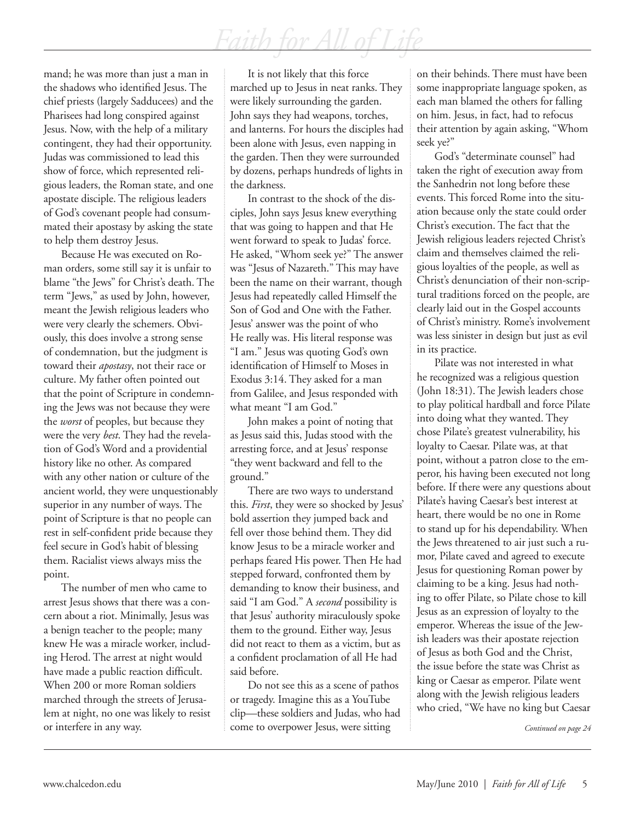mand; he was more than just a man in the shadows who identified Jesus. The chief priests (largely Sadducees) and the Pharisees had long conspired against Jesus. Now, with the help of a military contingent, they had their opportunity. Judas was commissioned to lead this show of force, which represented religious leaders, the Roman state, and one apostate disciple. The religious leaders of God's covenant people had consummated their apostasy by asking the state to help them destroy Jesus.

Because He was executed on Roman orders, some still say it is unfair to blame "the Jews" for Christ's death. The term "Jews," as used by John, however, meant the Jewish religious leaders who were very clearly the schemers. Obviously, this does involve a strong sense of condemnation, but the judgment is toward their *apostasy*, not their race or culture. My father often pointed out that the point of Scripture in condemning the Jews was not because they were the *worst* of peoples, but because they were the very *best*. They had the revelation of God's Word and a providential history like no other. As compared with any other nation or culture of the ancient world, they were unquestionably superior in any number of ways. The point of Scripture is that no people can rest in self-confident pride because they feel secure in God's habit of blessing them. Racialist views always miss the point.

The number of men who came to arrest Jesus shows that there was a concern about a riot. Minimally, Jesus was a benign teacher to the people; many knew He was a miracle worker, including Herod. The arrest at night would have made a public reaction difficult. When 200 or more Roman soldiers marched through the streets of Jerusalem at night, no one was likely to resist or interfere in any way.

It is not likely that this force marched up to Jesus in neat ranks. They were likely surrounding the garden. John says they had weapons, torches, and lanterns. For hours the disciples had been alone with Jesus, even napping in the garden. Then they were surrounded by dozens, perhaps hundreds of lights in the darkness.

In contrast to the shock of the disciples, John says Jesus knew everything that was going to happen and that He went forward to speak to Judas' force. He asked, "Whom seek ye?" The answer was "Jesus of Nazareth." This may have been the name on their warrant, though Jesus had repeatedly called Himself the Son of God and One with the Father. Jesus' answer was the point of who He really was. His literal response was "I am." Jesus was quoting God's own identification of Himself to Moses in Exodus 3:14. They asked for a man from Galilee, and Jesus responded with what meant "I am God."

John makes a point of noting that as Jesus said this, Judas stood with the arresting force, and at Jesus' response "they went backward and fell to the ground."

There are two ways to understand this. *First*, they were so shocked by Jesus' bold assertion they jumped back and fell over those behind them. They did know Jesus to be a miracle worker and perhaps feared His power. Then He had stepped forward, confronted them by demanding to know their business, and said "I am God." A *second* possibility is that Jesus' authority miraculously spoke them to the ground. Either way, Jesus did not react to them as a victim, but as a confident proclamation of all He had said before.

Do not see this as a scene of pathos or tragedy. Imagine this as a YouTube clip—these soldiers and Judas, who had come to overpower Jesus, were sitting

on their behinds. There must have been some inappropriate language spoken, as each man blamed the others for falling on him. Jesus, in fact, had to refocus their attention by again asking, "Whom seek ye?"

God's "determinate counsel" had taken the right of execution away from the Sanhedrin not long before these events. This forced Rome into the situation because only the state could order Christ's execution. The fact that the Jewish religious leaders rejected Christ's claim and themselves claimed the religious loyalties of the people, as well as Christ's denunciation of their non-scriptural traditions forced on the people, are clearly laid out in the Gospel accounts of Christ's ministry. Rome's involvement was less sinister in design but just as evil in its practice.

Pilate was not interested in what he recognized was a religious question (John 18:31). The Jewish leaders chose to play political hardball and force Pilate into doing what they wanted. They chose Pilate's greatest vulnerability, his loyalty to Caesar. Pilate was, at that point, without a patron close to the emperor, his having been executed not long before. If there were any questions about Pilate's having Caesar's best interest at heart, there would be no one in Rome to stand up for his dependability. When the Jews threatened to air just such a rumor, Pilate caved and agreed to execute Jesus for questioning Roman power by claiming to be a king. Jesus had nothing to offer Pilate, so Pilate chose to kill Jesus as an expression of loyalty to the emperor. Whereas the issue of the Jewish leaders was their apostate rejection of Jesus as both God and the Christ, the issue before the state was Christ as king or Caesar as emperor. Pilate went along with the Jewish religious leaders who cried, "We have no king but Caesar

*Continued on page 24*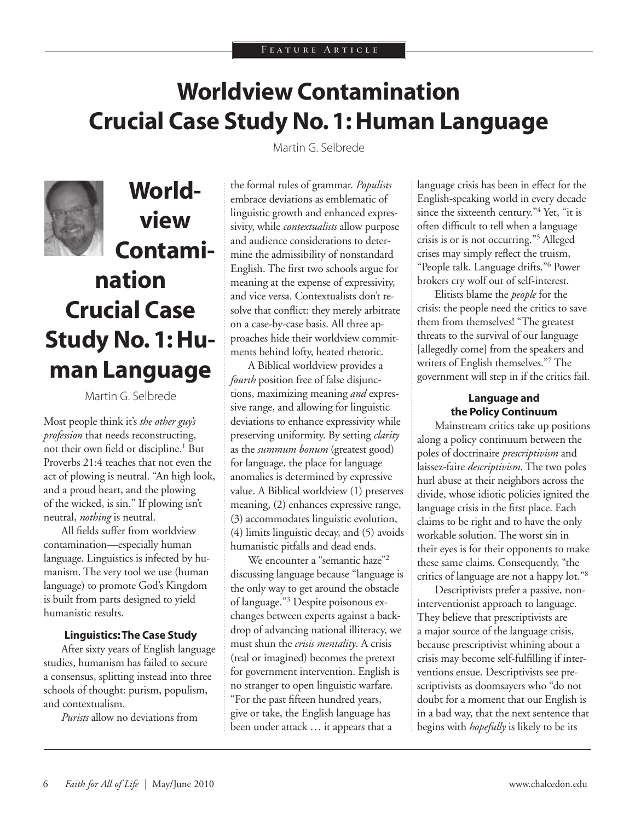## **Worldview Contamination Crucial Case Study No. 1: Human Language**

Martin G. Selbrede



## **Worldview Contamination Crucial Case Study No. 1: Human Language**

Martin G. Selbrede

Most people think it's *the other guy's profession* that needs reconstructing, not their own field or discipline.<sup>1</sup> But Proverbs 21:4 teaches that not even the act of plowing is neutral. "An high look, and a proud heart, and the plowing of the wicked, is sin." If plowing isn't neutral, *nothing* is neutral.

All fields suffer from worldview contamination—especially human language. Linguistics is infected by humanism. The very tool we use (human language) to promote God's Kingdom is built from parts designed to yield humanistic results.

#### **Linguistics: The Case Study**

After sixty years of English language studies, humanism has failed to secure a consensus, splitting instead into three schools of thought: purism, populism, and contextualism.

*Purists* allow no deviations from

the formal rules of grammar. *Populists* embrace deviations as emblematic of linguistic growth and enhanced expressivity, while *contextualists* allow purpose and audience considerations to determine the admissibility of nonstandard English. The first two schools argue for meaning at the expense of expressivity, and vice versa. Contextualists don't resolve that conflict: they merely arbitrate on a case-by-case basis. All three approaches hide their worldview commitments behind lofty, heated rhetoric.

A Biblical worldview provides a *fourth* position free of false disjunctions, maximizing meaning *and* expressive range, and allowing for linguistic deviations to enhance expressivity while preserving uniformity. By setting *clarity* as the *summum bonum* (greatest good) for language, the place for language anomalies is determined by expressive value. A Biblical worldview (1) preserves meaning, (2) enhances expressive range, (3) accommodates linguistic evolution, (4) limits linguistic decay, and (5) avoids humanistic pitfalls and dead ends.

We encounter a "semantic haze"<sup>2</sup> discussing language because "language is the only way to get around the obstacle of language."3 Despite poisonous exchanges between experts against a backdrop of advancing national illiteracy, we must shun the *crisis mentality*. A crisis (real or imagined) becomes the pretext for government intervention. English is no stranger to open linguistic warfare. "For the past fifteen hundred years, give or take, the English language has been under attack … it appears that a

language crisis has been in effect for the English-speaking world in every decade since the sixteenth century."4 Yet, "it is often difficult to tell when a language crisis is or is not occurring."5 Alleged crises may simply reflect the truism, "People talk. Language drifts."6 Power brokers cry wolf out of self-interest.

Elitists blame the *people* for the crisis: the people need the critics to save them from themselves! "The greatest threats to the survival of our language [allegedly come] from the speakers and writers of English themselves."7 The government will step in if the critics fail.

#### **Language and the Policy Continuum**

Mainstream critics take up positions along a policy continuum between the poles of doctrinaire *prescriptivism* and laissez-faire *descriptivism*. The two poles hurl abuse at their neighbors across the divide, whose idiotic policies ignited the language crisis in the first place. Each claims to be right and to have the only workable solution. The worst sin in their eyes is for their opponents to make these same claims. Consequently, "the critics of language are not a happy lot."8

Descriptivists prefer a passive, noninterventionist approach to language. They believe that prescriptivists are a major source of the language crisis, because prescriptivist whining about a crisis may become self-fulfilling if interventions ensue. Descriptivists see prescriptivists as doomsayers who "do not doubt for a moment that our English is in a bad way, that the next sentence that begins with *hopefully* is likely to be its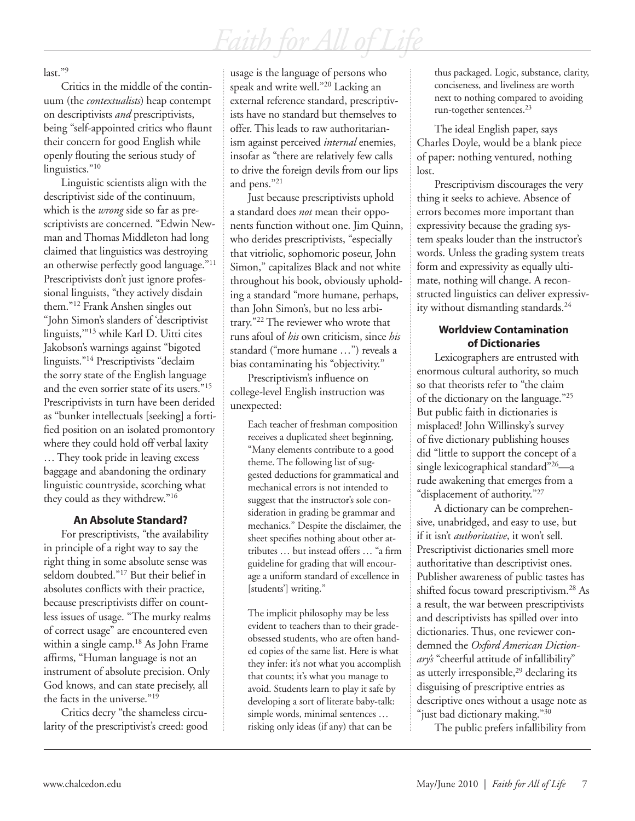last."9

Critics in the middle of the continuum (the *contextualists*) heap contempt on descriptivists *and* prescriptivists, being "self-appointed critics who flaunt their concern for good English while openly flouting the serious study of linguistics."<sup>10</sup>

Linguistic scientists align with the descriptivist side of the continuum, which is the *wrong* side so far as prescriptivists are concerned. "Edwin Newman and Thomas Middleton had long claimed that linguistics was destroying an otherwise perfectly good language."11 Prescriptivists don't just ignore professional linguists, "they actively disdain them."12 Frank Anshen singles out "John Simon's slanders of 'descriptivist linguists,'"13 while Karl D. Uitti cites Jakobson's warnings against "bigoted linguists."14 Prescriptivists "declaim the sorry state of the English language and the even sorrier state of its users."15 Prescriptivists in turn have been derided as "bunker intellectuals [seeking] a fortified position on an isolated promontory where they could hold off verbal laxity … They took pride in leaving excess baggage and abandoning the ordinary linguistic countryside, scorching what they could as they withdrew."16

#### **An Absolute Standard?**

For prescriptivists, "the availability in principle of a right way to say the right thing in some absolute sense was seldom doubted."17 But their belief in absolutes conflicts with their practice, because prescriptivists differ on countless issues of usage. "The murky realms of correct usage" are encountered even within a single camp.<sup>18</sup> As John Frame affirms, "Human language is not an instrument of absolute precision. Only God knows, and can state precisely, all the facts in the universe."19

Critics decry "the shameless circularity of the prescriptivist's creed: good usage is the language of persons who speak and write well."20 Lacking an external reference standard, prescriptivists have no standard but themselves to offer. This leads to raw authoritarianism against perceived *internal* enemies, insofar as "there are relatively few calls to drive the foreign devils from our lips and pens."21

Just because prescriptivists uphold a standard does *not* mean their opponents function without one. Jim Quinn, who derides prescriptivists, "especially that vitriolic, sophomoric poseur, John Simon," capitalizes Black and not white throughout his book, obviously upholding a standard "more humane, perhaps, than John Simon's, but no less arbitrary."22 The reviewer who wrote that runs afoul of *his* own criticism, since *his* standard ("more humane …") reveals a bias contaminating his "objectivity."

Prescriptivism's influence on college-level English instruction was unexpected:

Each teacher of freshman composition receives a duplicated sheet beginning, "Many elements contribute to a good theme. The following list of suggested deductions for grammatical and mechanical errors is not intended to suggest that the instructor's sole consideration in grading be grammar and mechanics." Despite the disclaimer, the sheet specifies nothing about other attributes … but instead offers … "a firm guideline for grading that will encourage a uniform standard of excellence in [students'] writing."

The implicit philosophy may be less evident to teachers than to their gradeobsessed students, who are often handed copies of the same list. Here is what they infer: it's not what you accomplish that counts; it's what you manage to avoid. Students learn to play it safe by developing a sort of literate baby-talk: simple words, minimal sentences … risking only ideas (if any) that can be

thus packaged. Logic, substance, clarity, conciseness, and liveliness are worth next to nothing compared to avoiding run-together sentences.23

The ideal English paper, says Charles Doyle, would be a blank piece of paper: nothing ventured, nothing lost.

Prescriptivism discourages the very thing it seeks to achieve. Absence of errors becomes more important than expressivity because the grading system speaks louder than the instructor's words. Unless the grading system treats form and expressivity as equally ultimate, nothing will change. A reconstructed linguistics can deliver expressivity without dismantling standards.<sup>24</sup>

#### **Worldview Contamination of Dictionaries**

Lexicographers are entrusted with enormous cultural authority, so much so that theorists refer to "the claim of the dictionary on the language."25 But public faith in dictionaries is misplaced! John Willinsky's survey of five dictionary publishing houses did "little to support the concept of a single lexicographical standard"26—a rude awakening that emerges from a "displacement of authority."<sup>27</sup>

A dictionary can be comprehensive, unabridged, and easy to use, but if it isn't *authoritative*, it won't sell. Prescriptivist dictionaries smell more authoritative than descriptivist ones. Publisher awareness of public tastes has shifted focus toward prescriptivism.<sup>28</sup> As a result, the war between prescriptivists and descriptivists has spilled over into dictionaries. Thus, one reviewer condemned the *Oxford American Dictionary's* "cheerful attitude of infallibility" as utterly irresponsible, $29$  declaring its disguising of prescriptive entries as descriptive ones without a usage note as "just bad dictionary making."<sup>30</sup>

The public prefers infallibility from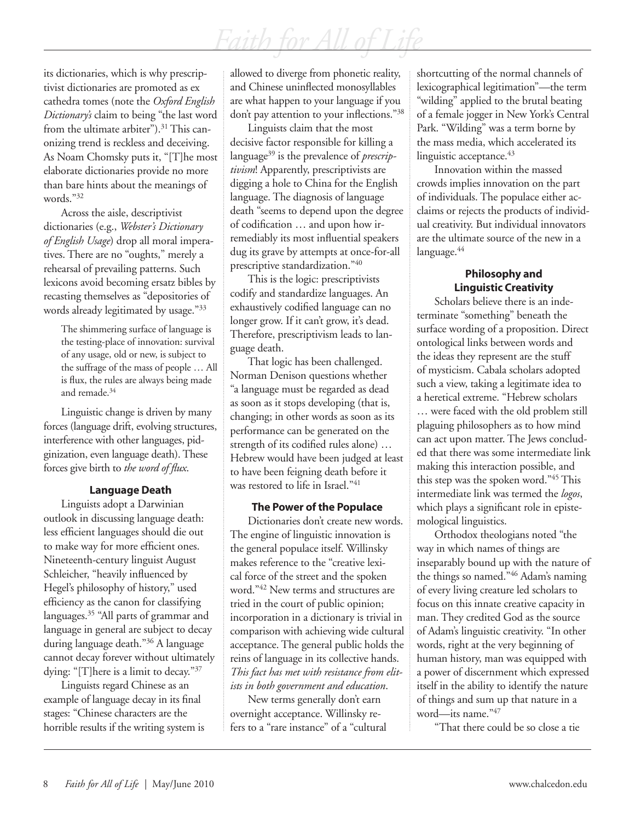its dictionaries, which is why prescriptivist dictionaries are promoted as ex cathedra tomes (note the *Oxford English Dictionary's* claim to being "the last word from the ultimate arbiter").<sup>31</sup> This canonizing trend is reckless and deceiving. As Noam Chomsky puts it, "[T]he most elaborate dictionaries provide no more than bare hints about the meanings of words."32

Across the aisle, descriptivist dictionaries (e.g., *Webster's Dictionary of English Usage*) drop all moral imperatives. There are no "oughts," merely a rehearsal of prevailing patterns. Such lexicons avoid becoming ersatz bibles by recasting themselves as "depositories of words already legitimated by usage."33

The shimmering surface of language is the testing-place of innovation: survival of any usage, old or new, is subject to the suffrage of the mass of people … All is flux, the rules are always being made and remade.34

Linguistic change is driven by many forces (language drift, evolving structures, interference with other languages, pidginization, even language death). These forces give birth to *the word of flux*.

#### **Language Death**

Linguists adopt a Darwinian outlook in discussing language death: less efficient languages should die out to make way for more efficient ones. Nineteenth-century linguist August Schleicher, "heavily influenced by Hegel's philosophy of history," used efficiency as the canon for classifying languages.<sup>35</sup> "All parts of grammar and language in general are subject to decay during language death."36 A language cannot decay forever without ultimately dying: "[T]here is a limit to decay."37

Linguists regard Chinese as an example of language decay in its final stages: "Chinese characters are the horrible results if the writing system is allowed to diverge from phonetic reality, and Chinese uninflected monosyllables are what happen to your language if you don't pay attention to your inflections."<sup>38</sup>

Linguists claim that the most decisive factor responsible for killing a language39 is the prevalence of *prescriptivism*! Apparently, prescriptivists are digging a hole to China for the English language. The diagnosis of language death "seems to depend upon the degree of codification … and upon how irremediably its most influential speakers dug its grave by attempts at once-for-all prescriptive standardization."40

This is the logic: prescriptivists codify and standardize languages. An exhaustively codified language can no longer grow. If it can't grow, it's dead. Therefore, prescriptivism leads to language death.

That logic has been challenged. Norman Denison questions whether "a language must be regarded as dead as soon as it stops developing (that is, changing; in other words as soon as its performance can be generated on the strength of its codified rules alone) … Hebrew would have been judged at least to have been feigning death before it was restored to life in Israel."<sup>41</sup>

#### **The Power of the Populace**

Dictionaries don't create new words. The engine of linguistic innovation is the general populace itself. Willinsky makes reference to the "creative lexical force of the street and the spoken word."42 New terms and structures are tried in the court of public opinion; incorporation in a dictionary is trivial in comparison with achieving wide cultural acceptance. The general public holds the reins of language in its collective hands. *This fact has met with resistance from elitists in both government and education*.

New terms generally don't earn overnight acceptance. Willinsky refers to a "rare instance" of a "cultural shortcutting of the normal channels of lexicographical legitimation"—the term "wilding" applied to the brutal beating of a female jogger in New York's Central Park. "Wilding" was a term borne by the mass media, which accelerated its linguistic acceptance. $43$ 

Innovation within the massed crowds implies innovation on the part of individuals. The populace either acclaims or rejects the products of individual creativity. But individual innovators are the ultimate source of the new in a language.<sup>44</sup>

#### **Philosophy and Linguistic Creativity**

Scholars believe there is an indeterminate "something" beneath the surface wording of a proposition. Direct ontological links between words and the ideas they represent are the stuff of mysticism. Cabala scholars adopted such a view, taking a legitimate idea to a heretical extreme. "Hebrew scholars … were faced with the old problem still plaguing philosophers as to how mind can act upon matter. The Jews concluded that there was some intermediate link making this interaction possible, and this step was the spoken word."45 This intermediate link was termed the *logos*, which plays a significant role in epistemological linguistics.

Orthodox theologians noted "the way in which names of things are inseparably bound up with the nature of the things so named."46 Adam's naming of every living creature led scholars to focus on this innate creative capacity in man. They credited God as the source of Adam's linguistic creativity. "In other words, right at the very beginning of human history, man was equipped with a power of discernment which expressed itself in the ability to identify the nature of things and sum up that nature in a word—its name."47

"That there could be so close a tie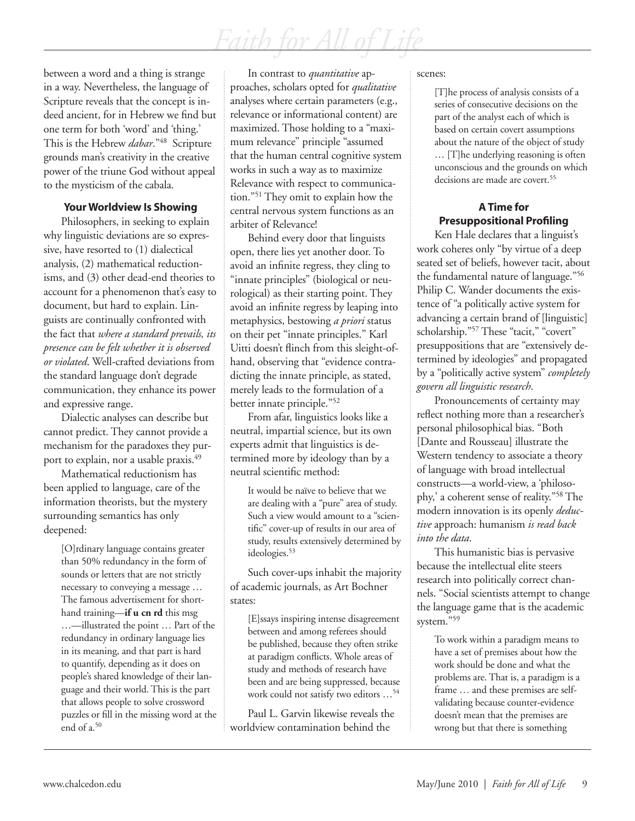between a word and a thing is strange in a way. Nevertheless, the language of Scripture reveals that the concept is indeed ancient, for in Hebrew we find but one term for both 'word' and 'thing.' This is the Hebrew *dabar*."48 Scripture grounds man's creativity in the creative power of the triune God without appeal to the mysticism of the cabala.

#### **Your Worldview Is Showing**

Philosophers, in seeking to explain why linguistic deviations are so expressive, have resorted to (1) dialectical analysis, (2) mathematical reductionisms, and (3) other dead-end theories to account for a phenomenon that's easy to document, but hard to explain. Linguists are continually confronted with the fact that *where a standard prevails, its presence can be felt whether it is observed or violated*. Well-crafted deviations from the standard language don't degrade communication, they enhance its power and expressive range.

Dialectic analyses can describe but cannot predict. They cannot provide a mechanism for the paradoxes they purport to explain, nor a usable praxis.<sup>49</sup>

Mathematical reductionism has been applied to language, care of the information theorists, but the mystery surrounding semantics has only deepened:

> [O]rdinary language contains greater than 50% redundancy in the form of sounds or letters that are not strictly necessary to conveying a message … The famous advertisement for shorthand training—**if u cn rd** this msg …—illustrated the point … Part of the redundancy in ordinary language lies in its meaning, and that part is hard to quantify, depending as it does on people's shared knowledge of their language and their world. This is the part that allows people to solve crossword puzzles or fill in the missing word at the end of a.50

In contrast to *quantitative* approaches, scholars opted for *qualitative* analyses where certain parameters (e.g., relevance or informational content) are maximized. Those holding to a "maximum relevance" principle "assumed that the human central cognitive system works in such a way as to maximize Relevance with respect to communication."51 They omit to explain how the central nervous system functions as an arbiter of Relevance!

Behind every door that linguists open, there lies yet another door. To avoid an infinite regress, they cling to "innate principles" (biological or neurological) as their starting point. They avoid an infinite regress by leaping into metaphysics, bestowing *a priori* status on their pet "innate principles." Karl Uitti doesn't flinch from this sleight-ofhand, observing that "evidence contradicting the innate principle, as stated, merely leads to the formulation of a better innate principle."52

From afar, linguistics looks like a neutral, impartial science, but its own experts admit that linguistics is determined more by ideology than by a neutral scientific method:

It would be naïve to believe that we are dealing with a "pure" area of study. Such a view would amount to a "scientific" cover-up of results in our area of study, results extensively determined by ideologies.<sup>53</sup>

Such cover-ups inhabit the majority of academic journals, as Art Bochner states:

[E]ssays inspiring intense disagreement between and among referees should be published, because they often strike at paradigm conflicts. Whole areas of study and methods of research have been and are being suppressed, because work could not satisfy two editors …54

Paul L. Garvin likewise reveals the worldview contamination behind the

scenes:

[T]he process of analysis consists of a series of consecutive decisions on the part of the analyst each of which is based on certain covert assumptions about the nature of the object of study … [T]he underlying reasoning is often unconscious and the grounds on which decisions are made are covert.<sup>55</sup>

### **A Time for Presuppositional Profiling**

Ken Hale declares that a linguist's work coheres only "by virtue of a deep seated set of beliefs, however tacit, about the fundamental nature of language."56 Philip C. Wander documents the existence of "a politically active system for advancing a certain brand of [linguistic] scholarship."<sup>57</sup> These "tacit," "covert" presuppositions that are "extensively determined by ideologies" and propagated by a "politically active system" *completely govern all linguistic research*.

Pronouncements of certainty may reflect nothing more than a researcher's personal philosophical bias. "Both [Dante and Rousseau] illustrate the Western tendency to associate a theory of language with broad intellectual constructs—a world-view, a 'philosophy,' a coherent sense of reality."58 The modern innovation is its openly *deductive* approach: humanism *is read back into the data*.

This humanistic bias is pervasive because the intellectual elite steers research into politically correct channels. "Social scientists attempt to change the language game that is the academic system."59

To work within a paradigm means to have a set of premises about how the work should be done and what the problems are. That is, a paradigm is a frame … and these premises are selfvalidating because counter-evidence doesn't mean that the premises are wrong but that there is something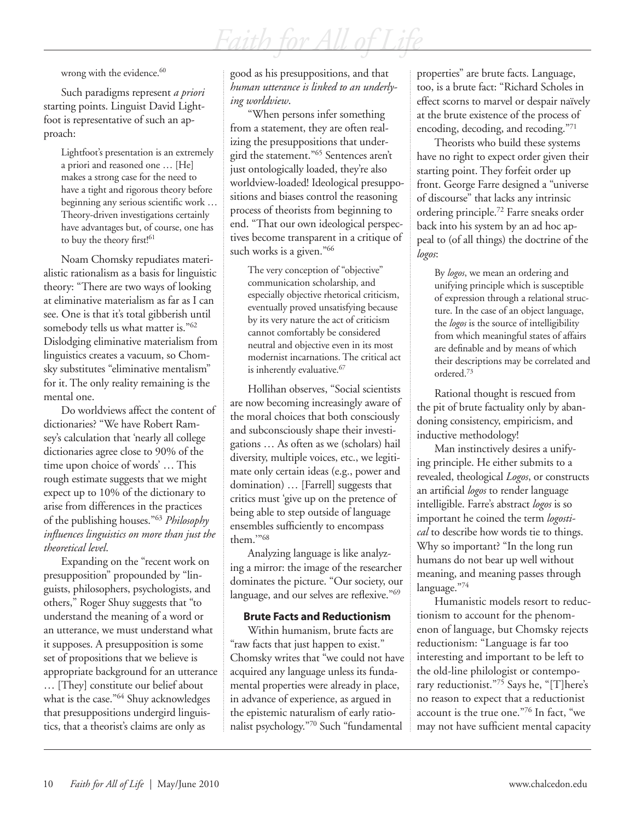wrong with the evidence.<sup>60</sup>

Such paradigms represent *a priori* starting points. Linguist David Lightfoot is representative of such an approach:

> Lightfoot's presentation is an extremely a priori and reasoned one … [He] makes a strong case for the need to have a tight and rigorous theory before beginning any serious scientific work … Theory-driven investigations certainly have advantages but, of course, one has to buy the theory first!<sup>61</sup>

Noam Chomsky repudiates materialistic rationalism as a basis for linguistic theory: "There are two ways of looking at eliminative materialism as far as I can see. One is that it's total gibberish until somebody tells us what matter is."62 Dislodging eliminative materialism from linguistics creates a vacuum, so Chomsky substitutes "eliminative mentalism" for it. The only reality remaining is the mental one.

Do worldviews affect the content of dictionaries? "We have Robert Ramsey's calculation that 'nearly all college dictionaries agree close to 90% of the time upon choice of words' … This rough estimate suggests that we might expect up to 10% of the dictionary to arise from differences in the practices of the publishing houses."63 *Philosophy influences linguistics on more than just the theoretical level*.

Expanding on the "recent work on presupposition" propounded by "linguists, philosophers, psychologists, and others," Roger Shuy suggests that "to understand the meaning of a word or an utterance, we must understand what it supposes. A presupposition is some set of propositions that we believe is appropriate background for an utterance … [They] constitute our belief about what is the case."<sup>64</sup> Shuy acknowledges that presuppositions undergird linguistics, that a theorist's claims are only as

good as his presuppositions, and that *human utterance is linked to an underlying worldview*.

"When persons infer something from a statement, they are often realizing the presuppositions that undergird the statement."65 Sentences aren't just ontologically loaded, they're also worldview-loaded! Ideological presuppositions and biases control the reasoning process of theorists from beginning to end. "That our own ideological perspectives become transparent in a critique of such works is a given."<sup>66</sup>

The very conception of "objective" communication scholarship, and especially objective rhetorical criticism, eventually proved unsatisfying because by its very nature the act of criticism cannot comfortably be considered neutral and objective even in its most modernist incarnations. The critical act is inherently evaluative.<sup>67</sup>

Hollihan observes, "Social scientists are now becoming increasingly aware of the moral choices that both consciously and subconsciously shape their investigations … As often as we (scholars) hail diversity, multiple voices, etc., we legitimate only certain ideas (e.g., power and domination) … [Farrell] suggests that critics must 'give up on the pretence of being able to step outside of language ensembles sufficiently to encompass them.'"68

Analyzing language is like analyzing a mirror: the image of the researcher dominates the picture. "Our society, our language, and our selves are reflexive."<sup>69</sup>

#### **Brute Facts and Reductionism**

Within humanism, brute facts are "raw facts that just happen to exist." Chomsky writes that "we could not have acquired any language unless its fundamental properties were already in place, in advance of experience, as argued in the epistemic naturalism of early rationalist psychology."70 Such "fundamental

properties" are brute facts. Language, too, is a brute fact: "Richard Scholes in effect scorns to marvel or despair naïvely at the brute existence of the process of encoding, decoding, and recoding."71

Theorists who build these systems have no right to expect order given their starting point. They forfeit order up front. George Farre designed a "universe of discourse" that lacks any intrinsic ordering principle.72 Farre sneaks order back into his system by an ad hoc appeal to (of all things) the doctrine of the *logos*:

By *logos*, we mean an ordering and unifying principle which is susceptible of expression through a relational structure. In the case of an object language, the *logos* is the source of intelligibility from which meaningful states of affairs are definable and by means of which their descriptions may be correlated and ordered.73

Rational thought is rescued from the pit of brute factuality only by abandoning consistency, empiricism, and inductive methodology!

Man instinctively desires a unifying principle. He either submits to a revealed, theological *Logos*, or constructs an artificial *logos* to render language intelligible. Farre's abstract *logos* is so important he coined the term *logostical* to describe how words tie to things. Why so important? "In the long run humans do not bear up well without meaning, and meaning passes through language."74

Humanistic models resort to reductionism to account for the phenomenon of language, but Chomsky rejects reductionism: "Language is far too interesting and important to be left to the old-line philologist or contemporary reductionist."75 Says he, "[T]here's no reason to expect that a reductionist account is the true one."76 In fact, "we may not have sufficient mental capacity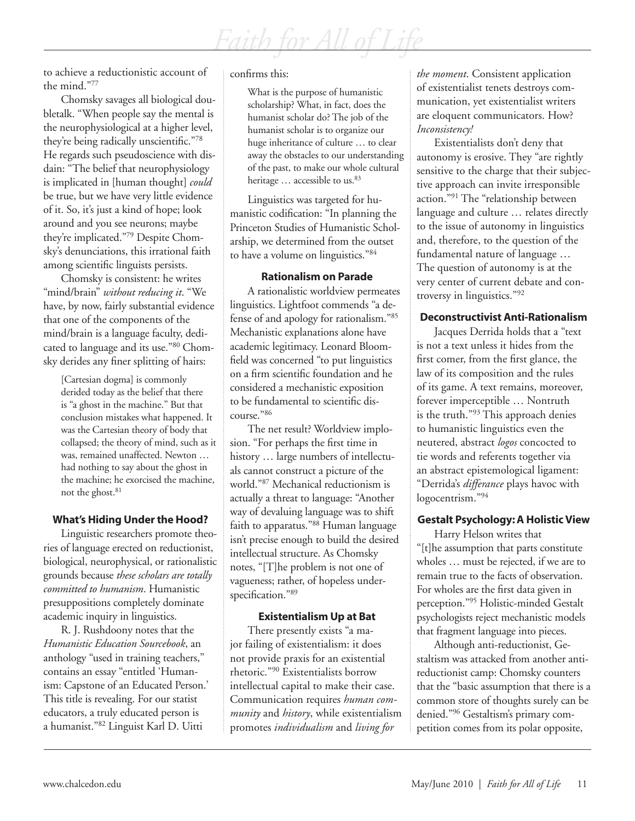*Faith for All of Life*

to achieve a reductionistic account of the mind."77

Chomsky savages all biological doubletalk. "When people say the mental is the neurophysiological at a higher level, they're being radically unscientific."78 He regards such pseudoscience with disdain: "The belief that neurophysiology is implicated in [human thought] *could* be true, but we have very little evidence of it. So, it's just a kind of hope; look around and you see neurons; maybe they're implicated."79 Despite Chomsky's denunciations, this irrational faith among scientific linguists persists.

Chomsky is consistent: he writes "mind/brain" *without reducing it*. "We have, by now, fairly substantial evidence that one of the components of the mind/brain is a language faculty, dedicated to language and its use."80 Chomsky derides any finer splitting of hairs:

> [Cartesian dogma] is commonly derided today as the belief that there is "a ghost in the machine." But that conclusion mistakes what happened. It was the Cartesian theory of body that collapsed; the theory of mind, such as it was, remained unaffected. Newton … had nothing to say about the ghost in the machine; he exorcised the machine, not the ghost.<sup>81</sup>

#### **What's Hiding Under the Hood?**

Linguistic researchers promote theories of language erected on reductionist, biological, neurophysical, or rationalistic grounds because *these scholars are totally committed to humanism*. Humanistic presuppositions completely dominate academic inquiry in linguistics.

R. J. Rushdoony notes that the *Humanistic Education Sourcebook*, an anthology "used in training teachers," contains an essay "entitled 'Humanism: Capstone of an Educated Person.' This title is revealing. For our statist educators, a truly educated person is a humanist."82 Linguist Karl D. Uitti

#### confirms this:

What is the purpose of humanistic scholarship? What, in fact, does the humanist scholar do? The job of the humanist scholar is to organize our huge inheritance of culture … to clear away the obstacles to our understanding of the past, to make our whole cultural heritage ... accessible to us.<sup>83</sup>

Linguistics was targeted for humanistic codification: "In planning the Princeton Studies of Humanistic Scholarship, we determined from the outset to have a volume on linguistics."84

#### **Rationalism on Parade**

A rationalistic worldview permeates linguistics. Lightfoot commends "a defense of and apology for rationalism."85 Mechanistic explanations alone have academic legitimacy. Leonard Bloomfield was concerned "to put linguistics on a firm scientific foundation and he considered a mechanistic exposition to be fundamental to scientific discourse."86

The net result? Worldview implosion. "For perhaps the first time in history … large numbers of intellectuals cannot construct a picture of the world."87 Mechanical reductionism is actually a threat to language: "Another way of devaluing language was to shift faith to apparatus."88 Human language isn't precise enough to build the desired intellectual structure. As Chomsky notes, "[T]he problem is not one of vagueness; rather, of hopeless underspecification."89

#### **Existentialism Up at Bat**

There presently exists "a major failing of existentialism: it does not provide praxis for an existential rhetoric."90 Existentialists borrow intellectual capital to make their case. Communication requires *human community* and *history*, while existentialism promotes *individualism* and *living for* 

*the moment*. Consistent application of existentialist tenets destroys communication, yet existentialist writers are eloquent communicators. How? *Inconsistency!*

Existentialists don't deny that autonomy is erosive. They "are rightly sensitive to the charge that their subjective approach can invite irresponsible action."<sup>91</sup> The "relationship between language and culture … relates directly to the issue of autonomy in linguistics and, therefore, to the question of the fundamental nature of language … The question of autonomy is at the very center of current debate and controversy in linguistics."92

#### **Deconstructivist Anti-Rationalism**

Jacques Derrida holds that a "text is not a text unless it hides from the first comer, from the first glance, the law of its composition and the rules of its game. A text remains, moreover, forever imperceptible … Nontruth is the truth."93 This approach denies to humanistic linguistics even the neutered, abstract *logos* concocted to tie words and referents together via an abstract epistemological ligament: "Derrida's *differance* plays havoc with logocentrism."94

#### **Gestalt Psychology: A Holistic View**

Harry Helson writes that "[t]he assumption that parts constitute wholes … must be rejected, if we are to remain true to the facts of observation. For wholes are the first data given in perception."95 Holistic-minded Gestalt psychologists reject mechanistic models that fragment language into pieces.

Although anti-reductionist, Gestaltism was attacked from another antireductionist camp: Chomsky counters that the "basic assumption that there is a common store of thoughts surely can be denied."96 Gestaltism's primary competition comes from its polar opposite,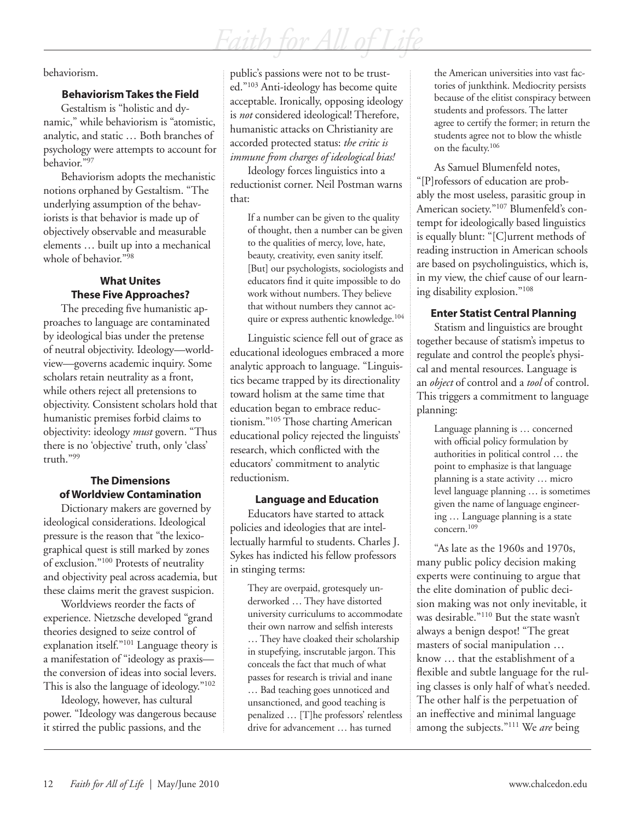behaviorism.

#### **Behaviorism Takes the Field**

Gestaltism is "holistic and dynamic," while behaviorism is "atomistic, analytic, and static … Both branches of psychology were attempts to account for behavior."97

Behaviorism adopts the mechanistic notions orphaned by Gestaltism. "The underlying assumption of the behaviorists is that behavior is made up of objectively observable and measurable elements … built up into a mechanical whole of behavior."98

### **What Unites These Five Approaches?**

The preceding five humanistic approaches to language are contaminated by ideological bias under the pretense of neutral objectivity. Ideology—worldview—governs academic inquiry. Some scholars retain neutrality as a front, while others reject all pretensions to objectivity. Consistent scholars hold that humanistic premises forbid claims to objectivity: ideology *must* govern. "Thus there is no 'objective' truth, only 'class' truth."99

### **The Dimensions of Worldview Contamination**

Dictionary makers are governed by ideological considerations. Ideological pressure is the reason that "the lexicographical quest is still marked by zones of exclusion."100 Protests of neutrality and objectivity peal across academia, but these claims merit the gravest suspicion.

Worldviews reorder the facts of experience. Nietzsche developed "grand theories designed to seize control of explanation itself."101 Language theory is a manifestation of "ideology as praxis the conversion of ideas into social levers. This is also the language of ideology."102

Ideology, however, has cultural power. "Ideology was dangerous because it stirred the public passions, and the

public's passions were not to be trusted."103 Anti-ideology has become quite acceptable. Ironically, opposing ideology is *not* considered ideological! Therefore, humanistic attacks on Christianity are accorded protected status: *the critic is immune from charges of ideological bias!*

Ideology forces linguistics into a reductionist corner. Neil Postman warns that:

If a number can be given to the quality of thought, then a number can be given to the qualities of mercy, love, hate, beauty, creativity, even sanity itself. [But] our psychologists, sociologists and educators find it quite impossible to do work without numbers. They believe that without numbers they cannot acquire or express authentic knowledge.104

Linguistic science fell out of grace as educational ideologues embraced a more analytic approach to language. "Linguistics became trapped by its directionality toward holism at the same time that education began to embrace reductionism."105 Those charting American educational policy rejected the linguists' research, which conflicted with the educators' commitment to analytic reductionism.

### **Language and Education**

Educators have started to attack policies and ideologies that are intellectually harmful to students. Charles J. Sykes has indicted his fellow professors in stinging terms:

They are overpaid, grotesquely underworked … They have distorted university curriculums to accommodate their own narrow and selfish interests … They have cloaked their scholarship in stupefying, inscrutable jargon. This conceals the fact that much of what passes for research is trivial and inane … Bad teaching goes unnoticed and unsanctioned, and good teaching is penalized … [T]he professors' relentless drive for advancement … has turned

the American universities into vast factories of junkthink. Mediocrity persists because of the elitist conspiracy between students and professors. The latter agree to certify the former; in return the students agree not to blow the whistle on the faculty.106

As Samuel Blumenfeld notes, "[P]rofessors of education are probably the most useless, parasitic group in American society."107 Blumenfeld's contempt for ideologically based linguistics is equally blunt: "[C]urrent methods of reading instruction in American schools are based on psycholinguistics, which is, in my view, the chief cause of our learning disability explosion."108

### **Enter Statist Central Planning**

Statism and linguistics are brought together because of statism's impetus to regulate and control the people's physical and mental resources. Language is an *object* of control and a *tool* of control. This triggers a commitment to language planning:

Language planning is … concerned with official policy formulation by authorities in political control … the point to emphasize is that language planning is a state activity … micro level language planning … is sometimes given the name of language engineering … Language planning is a state concern.109

"As late as the 1960s and 1970s, many public policy decision making experts were continuing to argue that the elite domination of public decision making was not only inevitable, it was desirable."110 But the state wasn't always a benign despot! "The great masters of social manipulation … know … that the establishment of a flexible and subtle language for the ruling classes is only half of what's needed. The other half is the perpetuation of an ineffective and minimal language among the subjects."111 We *are* being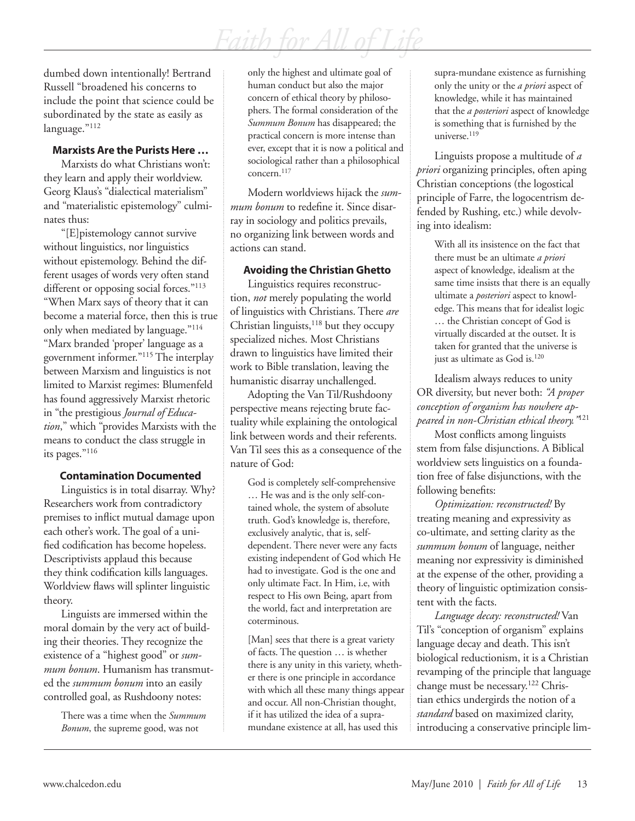dumbed down intentionally! Bertrand Russell "broadened his concerns to include the point that science could be subordinated by the state as easily as language."112

#### **Marxists Are the Purists Here …**

Marxists do what Christians won't: they learn and apply their worldview. Georg Klaus's "dialectical materialism" and "materialistic epistemology" culminates thus:

"[E]pistemology cannot survive without linguistics, nor linguistics without epistemology. Behind the different usages of words very often stand different or opposing social forces."<sup>113</sup> "When Marx says of theory that it can become a material force, then this is true only when mediated by language."114 "Marx branded 'proper' language as a government informer."115 The interplay between Marxism and linguistics is not limited to Marxist regimes: Blumenfeld has found aggressively Marxist rhetoric in "the prestigious *Journal of Education*," which "provides Marxists with the means to conduct the class struggle in its pages."116

#### **Contamination Documented**

Linguistics is in total disarray. Why? Researchers work from contradictory premises to inflict mutual damage upon each other's work. The goal of a unified codification has become hopeless. Descriptivists applaud this because they think codification kills languages. Worldview flaws will splinter linguistic theory.

Linguists are immersed within the moral domain by the very act of building their theories. They recognize the existence of a "highest good" or *summum bonum*. Humanism has transmuted the *summum bonum* into an easily controlled goal, as Rushdoony notes:

> There was a time when the *Summum Bonum*, the supreme good, was not

only the highest and ultimate goal of human conduct but also the major concern of ethical theory by philosophers. The formal consideration of the *Summum Bonum* has disappeared; the practical concern is more intense than ever, except that it is now a political and sociological rather than a philosophical concern.<sup>117</sup>

Modern worldviews hijack the *summum bonum* to redefine it. Since disarray in sociology and politics prevails, no organizing link between words and actions can stand.

#### **Avoiding the Christian Ghetto**

Linguistics requires reconstruction, *not* merely populating the world of linguistics with Christians. There *are* Christian linguists,<sup>118</sup> but they occupy specialized niches. Most Christians drawn to linguistics have limited their work to Bible translation, leaving the humanistic disarray unchallenged.

Adopting the Van Til/Rushdoony perspective means rejecting brute factuality while explaining the ontological link between words and their referents. Van Til sees this as a consequence of the nature of God:

God is completely self-comprehensive … He was and is the only self-contained whole, the system of absolute truth. God's knowledge is, therefore, exclusively analytic, that is, selfdependent. There never were any facts existing independent of God which He had to investigate. God is the one and only ultimate Fact. In Him, i.e, with respect to His own Being, apart from the world, fact and interpretation are coterminous.

[Man] sees that there is a great variety of facts. The question … is whether there is any unity in this variety, whether there is one principle in accordance with which all these many things appear and occur. All non-Christian thought, if it has utilized the idea of a supramundane existence at all, has used this

supra-mundane existence as furnishing only the unity or the *a priori* aspect of knowledge, while it has maintained that the *a posteriori* aspect of knowledge is something that is furnished by the universe.<sup>119</sup>

Linguists propose a multitude of *a priori* organizing principles, often aping Christian conceptions (the logostical principle of Farre, the logocentrism defended by Rushing, etc.) while devolving into idealism:

> With all its insistence on the fact that there must be an ultimate *a priori* aspect of knowledge, idealism at the same time insists that there is an equally ultimate a *posteriori* aspect to knowledge. This means that for idealist logic … the Christian concept of God is virtually discarded at the outset. It is taken for granted that the universe is just as ultimate as God is.<sup>120</sup>

Idealism always reduces to unity OR diversity, but never both: *"A proper conception of organism has nowhere appeared in non-Christian ethical theory."*<sup>121</sup>

Most conflicts among linguists stem from false disjunctions. A Biblical worldview sets linguistics on a foundation free of false disjunctions, with the following benefits:

*Optimization: reconstructed!* By treating meaning and expressivity as co-ultimate, and setting clarity as the *summum bonum* of language, neither meaning nor expressivity is diminished at the expense of the other, providing a theory of linguistic optimization consistent with the facts.

*Language decay: reconstructed!* Van Til's "conception of organism" explains language decay and death. This isn't biological reductionism, it is a Christian revamping of the principle that language change must be necessary.122 Christian ethics undergirds the notion of a *standard* based on maximized clarity, introducing a conservative principle lim-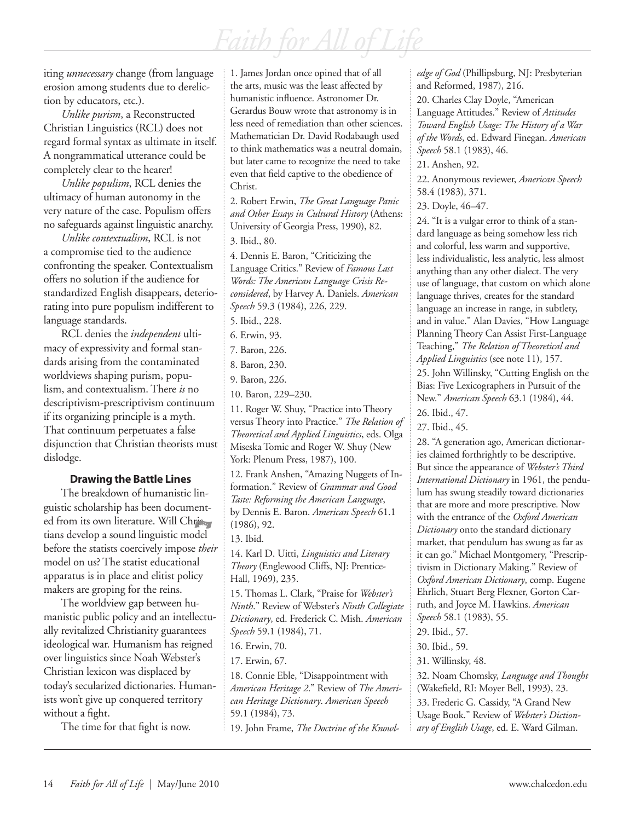*Faith for All of Life*

iting *unnecessary* change (from language erosion among students due to dereliction by educators, etc.).

*Unlike purism*, a Reconstructed Christian Linguistics (RCL) does not regard formal syntax as ultimate in itself. A nongrammatical utterance could be completely clear to the hearer!

*Unlike populism*, RCL denies the ultimacy of human autonomy in the very nature of the case. Populism offers no safeguards against linguistic anarchy.

*Unlike contextualism*, RCL is not a compromise tied to the audience confronting the speaker. Contextualism offers no solution if the audience for standardized English disappears, deteriorating into pure populism indifferent to language standards.

RCL denies the *independent* ultimacy of expressivity and formal standards arising from the contaminated worldviews shaping purism, populism, and contextualism. There *is* no descriptivism-prescriptivism continuum if its organizing principle is a myth. That continuum perpetuates a false disjunction that Christian theorists must dislodge.

#### **Drawing the Battle Lines**

The breakdown of humanistic linguistic scholarship has been documented from its own literature. Will Christ tians develop a sound linguistic model before the statists coercively impose *their* model on us? The statist educational apparatus is in place and elitist policy makers are groping for the reins.

The worldview gap between humanistic public policy and an intellectually revitalized Christianity guarantees ideological war. Humanism has reigned over linguistics since Noah Webster's Christian lexicon was displaced by today's secularized dictionaries. Humanists won't give up conquered territory without a fight.

The time for that fight is now.

1. James Jordan once opined that of all the arts, music was the least affected by humanistic influence. Astronomer Dr. Gerardus Bouw wrote that astronomy is in less need of remediation than other sciences. Mathematician Dr. David Rodabaugh used to think mathematics was a neutral domain, but later came to recognize the need to take even that field captive to the obedience of Christ.

2. Robert Erwin, *The Great Language Panic and Other Essays in Cultural History* (Athens: University of Georgia Press, 1990), 82.

3. Ibid., 80.

4. Dennis E. Baron, "Criticizing the Language Critics." Review of *Famous Last Words: The American Language Crisis Reconsidered*, by Harvey A. Daniels. *American Speech* 59.3 (1984), 226, 229.

5. Ibid., 228.

- 6. Erwin, 93.
- 7. Baron, 226.
- 8. Baron, 230.
- 9. Baron, 226.
- 10. Baron, 229–230.

11. Roger W. Shuy, "Practice into Theory versus Theory into Practice." *The Relation of Theoretical and Applied Linguistics*, eds. Olga Miseska Tomic and Roger W. Shuy (New York: Plenum Press, 1987), 100.

12. Frank Anshen, "Amazing Nuggets of Information." Review of *Grammar and Good Taste: Reforming the American Language*, by Dennis E. Baron. *American Speech* 61.1 (1986), 92.

13. Ibid.

14. Karl D. Uitti, *Linguistics and Literary Theory* (Englewood Cliffs, NJ: Prentice-Hall, 1969), 235.

15. Thomas L. Clark, "Praise for *Webster's Ninth*." Review of Webster's *Ninth Collegiate Dictionary*, ed. Frederick C. Mish. *American Speech* 59.1 (1984), 71.

16. Erwin, 70.

17. Erwin, 67.

18. Connie Eble, "Disappointment with *American Heritage 2*." Review of *The American Heritage Dictionary*. *American Speech* 59.1 (1984), 73.

19. John Frame, *The Doctrine of the Knowl-*

*edge of God* (Phillipsburg, NJ: Presbyterian and Reformed, 1987), 216.

20. Charles Clay Doyle, "American Language Attitudes." Review of *Attitudes Toward English Usage: The History of a War of the Words*, ed. Edward Finegan. *American Speech* 58.1 (1983), 46.

21. Anshen, 92.

22. Anonymous reviewer, *American Speech* 58.4 (1983), 371.

23. Doyle, 46–47.

24. "It is a vulgar error to think of a standard language as being somehow less rich and colorful, less warm and supportive, less individualistic, less analytic, less almost anything than any other dialect. The very use of language, that custom on which alone language thrives, creates for the standard language an increase in range, in subtlety, and in value." Alan Davies, "How Language Planning Theory Can Assist First-Language Teaching," *The Relation of Theoretical and Applied Linguistics* (see note 11), 157.

25. John Willinsky, "Cutting English on the Bias: Five Lexicographers in Pursuit of the New." *American Speech* 63.1 (1984), 44. 26. Ibid., 47.

27. Ibid., 45.

28. "A generation ago, American dictionaries claimed forthrightly to be descriptive. But since the appearance of *Webster's Third International Dictionary* in 1961, the pendulum has swung steadily toward dictionaries that are more and more prescriptive. Now with the entrance of the *Oxford American Dictionary* onto the standard dictionary market, that pendulum has swung as far as it can go." Michael Montgomery, "Prescriptivism in Dictionary Making." Review of *Oxford American Dictionary*, comp. Eugene Ehrlich, Stuart Berg Flexner, Gorton Carruth, and Joyce M. Hawkins. *American Speech* 58.1 (1983), 55.

29. Ibid., 57.

30. Ibid., 59.

31. Willinsky, 48.

32. Noam Chomsky, *Language and Thought* (Wakefield, RI: Moyer Bell, 1993), 23.

33. Frederic G. Cassidy, "A Grand New Usage Book." Review of *Webster's Dictionary of English Usage*, ed. E. Ward Gilman.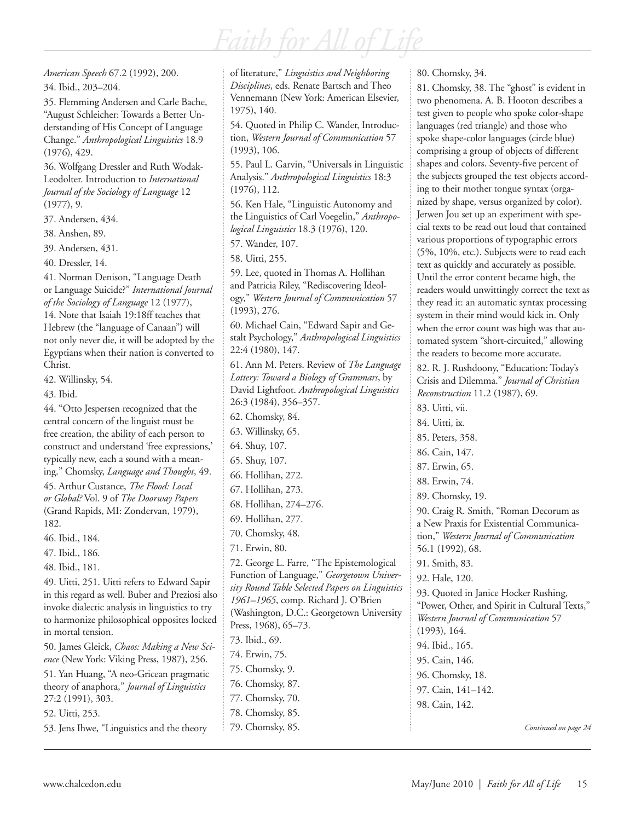*Faith for All of Life*

*American Speech* 67.2 (1992), 200.

34. Ibid., 203–204.

35. Flemming Andersen and Carle Bache, "August Schleicher: Towards a Better Understanding of His Concept of Language Change." *Anthropological Linguistics* 18.9 (1976), 429.

36. Wolfgang Dressler and Ruth Wodak-Leodolter. Introduction to *International Journal of the Sociology of Language* 12 (1977), 9.

37. Andersen, 434.

38. Anshen, 89.

39. Andersen, 431.

40. Dressler, 14.

41. Norman Denison, "Language Death or Language Suicide?" *International Journal of the Sociology of Language* 12 (1977), 14. Note that Isaiah 19:18ff teaches that Hebrew (the "language of Canaan") will not only never die, it will be adopted by the Egyptians when their nation is converted to Christ.

42. Willinsky, 54.

43. Ibid.

44. "Otto Jespersen recognized that the central concern of the linguist must be free creation, the ability of each person to construct and understand 'free expressions,' typically new, each a sound with a meaning." Chomsky, *Language and Thought*, 49. 45. Arthur Custance, *The Flood: Local or Global?* Vol. 9 of *The Doorway Papers* (Grand Rapids, MI: Zondervan, 1979), 182.

46. Ibid., 184.

47. Ibid., 186.

48. Ibid., 181.

49. Uitti, 251. Uitti refers to Edward Sapir in this regard as well. Buber and Preziosi also invoke dialectic analysis in linguistics to try to harmonize philosophical opposites locked in mortal tension.

50. James Gleick, *Chaos: Making a New Science* (New York: Viking Press, 1987), 256.

51. Yan Huang, "A neo-Gricean pragmatic theory of anaphora," *Journal of Linguistics*  27:2 (1991), 303.

52. Uitti, 253.

53. Jens Ihwe, "Linguistics and the theory

of literature," *Linguistics and Neighboring Disciplines*, eds. Renate Bartsch and Theo Vennemann (New York: American Elsevier, 1975), 140.

54. Quoted in Philip C. Wander, Introduction, *Western Journal of Communication* 57 (1993), 106.

55. Paul L. Garvin, "Universals in Linguistic Analysis." *Anthropological Linguistics* 18:3 (1976), 112.

56. Ken Hale, "Linguistic Autonomy and the Linguistics of Carl Voegelin," *Anthropological Linguistics* 18.3 (1976), 120.

57. Wander, 107.

58. Uitti, 255.

59. Lee, quoted in Thomas A. Hollihan and Patricia Riley, "Rediscovering Ideology," *Western Journal of Communication* 57 (1993), 276.

60. Michael Cain, "Edward Sapir and Gestalt Psychology," *Anthropological Linguistics* 22:4 (1980), 147.

61. Ann M. Peters. Review of *The Language Lottery: Toward a Biology of Grammars*, by David Lightfoot. *Anthropological Linguistics* 26:3 (1984), 356–357. 62. Chomsky, 84.

63. Willinsky, 65.

64. Shuy, 107.

- 65. Shuy, 107.
- 66. Hollihan, 272.
- 67. Hollihan, 273.
- 68. Hollihan, 274–276.
- 69. Hollihan, 277.

70. Chomsky, 48.

71. Erwin, 80.

72. George L. Farre, "The Epistemological Function of Language," *Georgetown University Round Table Selected Papers on Linguistics 1961–1965*, comp. Richard J. O'Brien (Washington, D.C.: Georgetown University Press, 1968), 65–73. 73. Ibid., 69.

74. Erwin, 75. 75. Chomsky, 9.

76. Chomsky, 87.

- 77. Chomsky, 70.
- 78. Chomsky, 85.

79. Chomsky, 85.

80. Chomsky, 34.

81. Chomsky, 38. The "ghost" is evident in two phenomena. A. B. Hooton describes a test given to people who spoke color-shape languages (red triangle) and those who spoke shape-color languages (circle blue) comprising a group of objects of different shapes and colors. Seventy-five percent of the subjects grouped the test objects according to their mother tongue syntax (organized by shape, versus organized by color). Jerwen Jou set up an experiment with special texts to be read out loud that contained various proportions of typographic errors (5%, 10%, etc.). Subjects were to read each text as quickly and accurately as possible. Until the error content became high, the readers would unwittingly correct the text as they read it: an automatic syntax processing system in their mind would kick in. Only when the error count was high was that automated system "short-circuited," allowing the readers to become more accurate. 82. R. J. Rushdoony, "Education: Today's Crisis and Dilemma." *Journal of Christian Reconstruction* 11.2 (1987), 69. 83. Uitti, vii.

84. Uitti, ix.

- 85. Peters, 358.
- 86. Cain, 147.
- 87. Erwin, 65.
- 88. Erwin, 74.
- 89. Chomsky, 19.

90. Craig R. Smith, "Roman Decorum as a New Praxis for Existential Communication," *Western Journal of Communication*  56.1 (1992), 68.

91. Smith, 83.

92. Hale, 120.

93. Quoted in Janice Hocker Rushing, "Power, Other, and Spirit in Cultural Texts," *Western Journal of Communication* 57 (1993), 164. 94. Ibid., 165. 95. Cain, 146. 96. Chomsky, 18. 97. Cain, 141–142. 98. Cain, 142.

*Continued on page 24*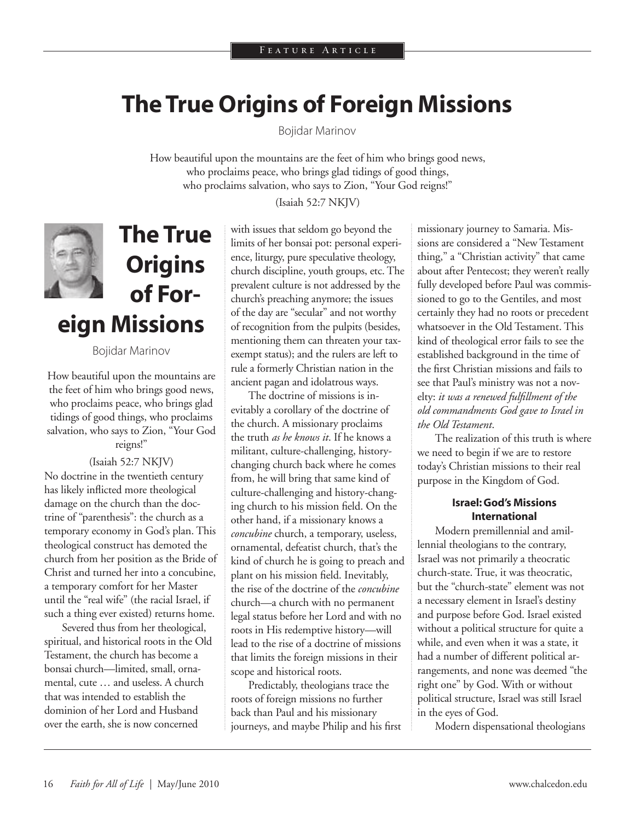### **The True Origins of Foreign Missions**

Bojidar Marinov

How beautiful upon the mountains are the feet of him who brings good news, who proclaims peace, who brings glad tidings of good things, who proclaims salvation, who says to Zion, "Your God reigns!"

(Isaiah 52:7 NKJV)



**The True Origins of Foreign Missions**

Bojidar Marinov

How beautiful upon the mountains are the feet of him who brings good news, who proclaims peace, who brings glad tidings of good things, who proclaims salvation, who says to Zion, "Your God reigns!"

(Isaiah 52:7 NKJV) No doctrine in the twentieth century has likely inflicted more theological damage on the church than the doctrine of "parenthesis": the church as a temporary economy in God's plan. This theological construct has demoted the church from her position as the Bride of Christ and turned her into a concubine, a temporary comfort for her Master until the "real wife" (the racial Israel, if such a thing ever existed) returns home.

Severed thus from her theological, spiritual, and historical roots in the Old Testament, the church has become a bonsai church—limited, small, ornamental, cute … and useless. A church that was intended to establish the dominion of her Lord and Husband over the earth, she is now concerned

with issues that seldom go beyond the limits of her bonsai pot: personal experience, liturgy, pure speculative theology, church discipline, youth groups, etc. The prevalent culture is not addressed by the church's preaching anymore; the issues of the day are "secular" and not worthy of recognition from the pulpits (besides, mentioning them can threaten your taxexempt status); and the rulers are left to rule a formerly Christian nation in the ancient pagan and idolatrous ways.

The doctrine of missions is inevitably a corollary of the doctrine of the church. A missionary proclaims the truth *as he knows it*. If he knows a militant, culture-challenging, historychanging church back where he comes from, he will bring that same kind of culture-challenging and history-changing church to his mission field. On the other hand, if a missionary knows a *concubine* church, a temporary, useless, ornamental, defeatist church, that's the kind of church he is going to preach and plant on his mission field. Inevitably, the rise of the doctrine of the *concubine* church—a church with no permanent legal status before her Lord and with no roots in His redemptive history—will lead to the rise of a doctrine of missions that limits the foreign missions in their scope and historical roots.

Predictably, theologians trace the roots of foreign missions no further back than Paul and his missionary journeys, and maybe Philip and his first missionary journey to Samaria. Missions are considered a "New Testament thing," a "Christian activity" that came about after Pentecost; they weren't really fully developed before Paul was commissioned to go to the Gentiles, and most certainly they had no roots or precedent whatsoever in the Old Testament. This kind of theological error fails to see the established background in the time of the first Christian missions and fails to see that Paul's ministry was not a novelty: *it was a renewed fulfillment of the old commandments God gave to Israel in the Old Testament*.

The realization of this truth is where we need to begin if we are to restore today's Christian missions to their real purpose in the Kingdom of God.

#### **Israel: God's Missions International**

Modern premillennial and amillennial theologians to the contrary, Israel was not primarily a theocratic church-state. True, it was theocratic, but the "church-state" element was not a necessary element in Israel's destiny and purpose before God. Israel existed without a political structure for quite a while, and even when it was a state, it had a number of different political arrangements, and none was deemed "the right one" by God. With or without political structure, Israel was still Israel in the eyes of God.

Modern dispensational theologians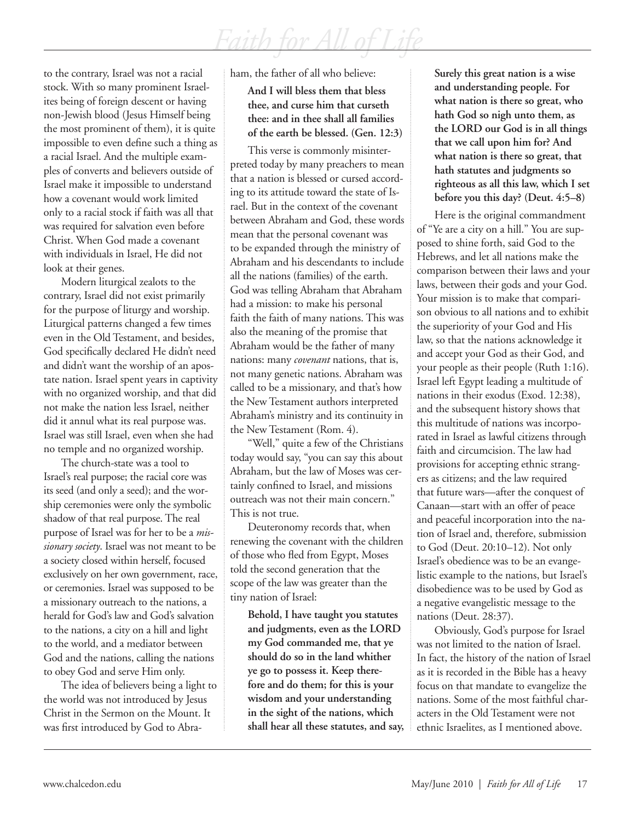to the contrary, Israel was not a racial stock. With so many prominent Israelites being of foreign descent or having non-Jewish blood (Jesus Himself being the most prominent of them), it is quite impossible to even define such a thing as a racial Israel. And the multiple examples of converts and believers outside of Israel make it impossible to understand how a covenant would work limited only to a racial stock if faith was all that was required for salvation even before Christ. When God made a covenant with individuals in Israel, He did not look at their genes.

Modern liturgical zealots to the contrary, Israel did not exist primarily for the purpose of liturgy and worship. Liturgical patterns changed a few times even in the Old Testament, and besides, God specifically declared He didn't need and didn't want the worship of an apostate nation. Israel spent years in captivity with no organized worship, and that did not make the nation less Israel, neither did it annul what its real purpose was. Israel was still Israel, even when she had no temple and no organized worship.

The church-state was a tool to Israel's real purpose; the racial core was its seed (and only a seed); and the worship ceremonies were only the symbolic shadow of that real purpose. The real purpose of Israel was for her to be a *missionary society*. Israel was not meant to be a society closed within herself, focused exclusively on her own government, race, or ceremonies. Israel was supposed to be a missionary outreach to the nations, a herald for God's law and God's salvation to the nations, a city on a hill and light to the world, and a mediator between God and the nations, calling the nations to obey God and serve Him only.

The idea of believers being a light to the world was not introduced by Jesus Christ in the Sermon on the Mount. It was first introduced by God to Abraham, the father of all who believe:

**And I will bless them that bless thee, and curse him that curseth thee: and in thee shall all families of the earth be blessed. (Gen. 12:3)**

This verse is commonly misinterpreted today by many preachers to mean that a nation is blessed or cursed according to its attitude toward the state of Israel. But in the context of the covenant between Abraham and God, these words mean that the personal covenant was to be expanded through the ministry of Abraham and his descendants to include all the nations (families) of the earth. God was telling Abraham that Abraham had a mission: to make his personal faith the faith of many nations. This was also the meaning of the promise that Abraham would be the father of many nations: many *covenant* nations, that is, not many genetic nations. Abraham was called to be a missionary, and that's how the New Testament authors interpreted Abraham's ministry and its continuity in the New Testament (Rom. 4).

"Well," quite a few of the Christians today would say, "you can say this about Abraham, but the law of Moses was certainly confined to Israel, and missions outreach was not their main concern." This is not true.

Deuteronomy records that, when renewing the covenant with the children of those who fled from Egypt, Moses told the second generation that the scope of the law was greater than the tiny nation of Israel:

**Behold, I have taught you statutes and judgments, even as the LORD my God commanded me, that ye should do so in the land whither ye go to possess it. Keep therefore and do them; for this is your wisdom and your understanding in the sight of the nations, which shall hear all these statutes, and say,**  **Surely this great nation is a wise and understanding people. For what nation is there so great, who hath God so nigh unto them, as the LORD our God is in all things that we call upon him for? And what nation is there so great, that hath statutes and judgments so righteous as all this law, which I set before you this day? (Deut. 4:5–8)**

Here is the original commandment of "Ye are a city on a hill." You are supposed to shine forth, said God to the Hebrews, and let all nations make the comparison between their laws and your laws, between their gods and your God. Your mission is to make that comparison obvious to all nations and to exhibit the superiority of your God and His law, so that the nations acknowledge it and accept your God as their God, and your people as their people (Ruth 1:16). Israel left Egypt leading a multitude of nations in their exodus (Exod. 12:38), and the subsequent history shows that this multitude of nations was incorporated in Israel as lawful citizens through faith and circumcision. The law had provisions for accepting ethnic strangers as citizens; and the law required that future wars—after the conquest of Canaan—start with an offer of peace and peaceful incorporation into the nation of Israel and, therefore, submission to God (Deut. 20:10–12). Not only Israel's obedience was to be an evangelistic example to the nations, but Israel's disobedience was to be used by God as a negative evangelistic message to the nations (Deut. 28:37).

Obviously, God's purpose for Israel was not limited to the nation of Israel. In fact, the history of the nation of Israel as it is recorded in the Bible has a heavy focus on that mandate to evangelize the nations. Some of the most faithful characters in the Old Testament were not ethnic Israelites, as I mentioned above.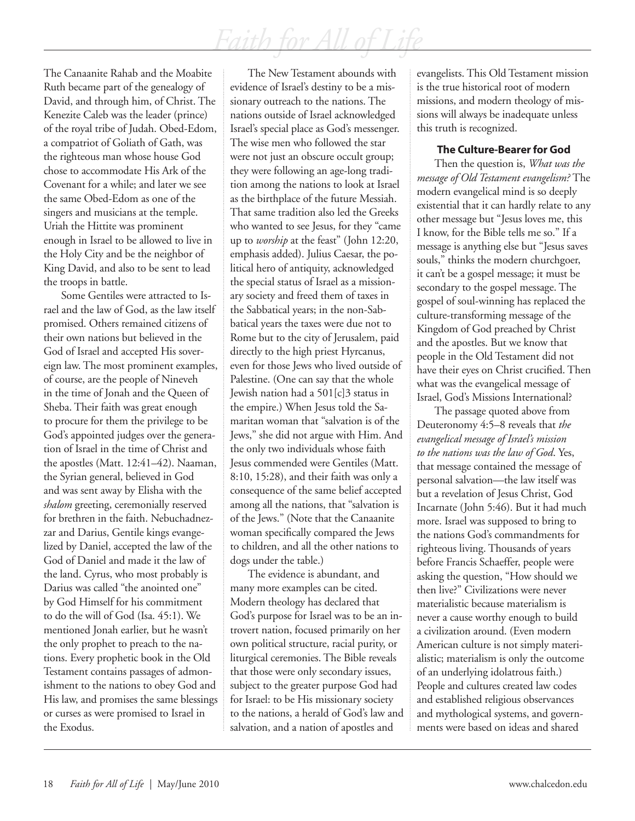The Canaanite Rahab and the Moabite Ruth became part of the genealogy of David, and through him, of Christ. The Kenezite Caleb was the leader (prince) of the royal tribe of Judah. Obed-Edom, a compatriot of Goliath of Gath, was the righteous man whose house God chose to accommodate His Ark of the Covenant for a while; and later we see the same Obed-Edom as one of the singers and musicians at the temple. Uriah the Hittite was prominent enough in Israel to be allowed to live in the Holy City and be the neighbor of King David, and also to be sent to lead the troops in battle.

Some Gentiles were attracted to Israel and the law of God, as the law itself promised. Others remained citizens of their own nations but believed in the God of Israel and accepted His sovereign law. The most prominent examples, of course, are the people of Nineveh in the time of Jonah and the Queen of Sheba. Their faith was great enough to procure for them the privilege to be God's appointed judges over the generation of Israel in the time of Christ and the apostles (Matt. 12:41–42). Naaman, the Syrian general, believed in God and was sent away by Elisha with the *shalom* greeting, ceremonially reserved for brethren in the faith. Nebuchadnezzar and Darius, Gentile kings evangelized by Daniel, accepted the law of the God of Daniel and made it the law of the land. Cyrus, who most probably is Darius was called "the anointed one" by God Himself for his commitment to do the will of God (Isa. 45:1). We mentioned Jonah earlier, but he wasn't the only prophet to preach to the nations. Every prophetic book in the Old Testament contains passages of admonishment to the nations to obey God and His law, and promises the same blessings or curses as were promised to Israel in the Exodus.

The New Testament abounds with evidence of Israel's destiny to be a missionary outreach to the nations. The nations outside of Israel acknowledged Israel's special place as God's messenger. The wise men who followed the star were not just an obscure occult group; they were following an age-long tradition among the nations to look at Israel as the birthplace of the future Messiah. That same tradition also led the Greeks who wanted to see Jesus, for they "came up to *worship* at the feast" (John 12:20, emphasis added). Julius Caesar, the political hero of antiquity, acknowledged the special status of Israel as a missionary society and freed them of taxes in the Sabbatical years; in the non-Sabbatical years the taxes were due not to Rome but to the city of Jerusalem, paid directly to the high priest Hyrcanus, even for those Jews who lived outside of Palestine. (One can say that the whole Jewish nation had a 501[c]3 status in the empire.) When Jesus told the Samaritan woman that "salvation is of the Jews," she did not argue with Him. And the only two individuals whose faith Jesus commended were Gentiles (Matt. 8:10, 15:28), and their faith was only a consequence of the same belief accepted among all the nations, that "salvation is of the Jews." (Note that the Canaanite woman specifically compared the Jews to children, and all the other nations to dogs under the table.)

The evidence is abundant, and many more examples can be cited. Modern theology has declared that God's purpose for Israel was to be an introvert nation, focused primarily on her own political structure, racial purity, or liturgical ceremonies. The Bible reveals that those were only secondary issues, subject to the greater purpose God had for Israel: to be His missionary society to the nations, a herald of God's law and salvation, and a nation of apostles and

evangelists. This Old Testament mission is the true historical root of modern missions, and modern theology of missions will always be inadequate unless this truth is recognized.

#### **The Culture-Bearer for God**

Then the question is, *What was the message of Old Testament evangelism?* The modern evangelical mind is so deeply existential that it can hardly relate to any other message but "Jesus loves me, this I know, for the Bible tells me so." If a message is anything else but "Jesus saves souls," thinks the modern churchgoer, it can't be a gospel message; it must be secondary to the gospel message. The gospel of soul-winning has replaced the culture-transforming message of the Kingdom of God preached by Christ and the apostles. But we know that people in the Old Testament did not have their eyes on Christ crucified. Then what was the evangelical message of Israel, God's Missions International?

The passage quoted above from Deuteronomy 4:5–8 reveals that *the evangelical message of Israel's mission to the nations was the law of God*. Yes, that message contained the message of personal salvation—the law itself was but a revelation of Jesus Christ, God Incarnate (John 5:46). But it had much more. Israel was supposed to bring to the nations God's commandments for righteous living. Thousands of years before Francis Schaeffer, people were asking the question, "How should we then live?" Civilizations were never materialistic because materialism is never a cause worthy enough to build a civilization around. (Even modern American culture is not simply materialistic; materialism is only the outcome of an underlying idolatrous faith.) People and cultures created law codes and established religious observances and mythological systems, and governments were based on ideas and shared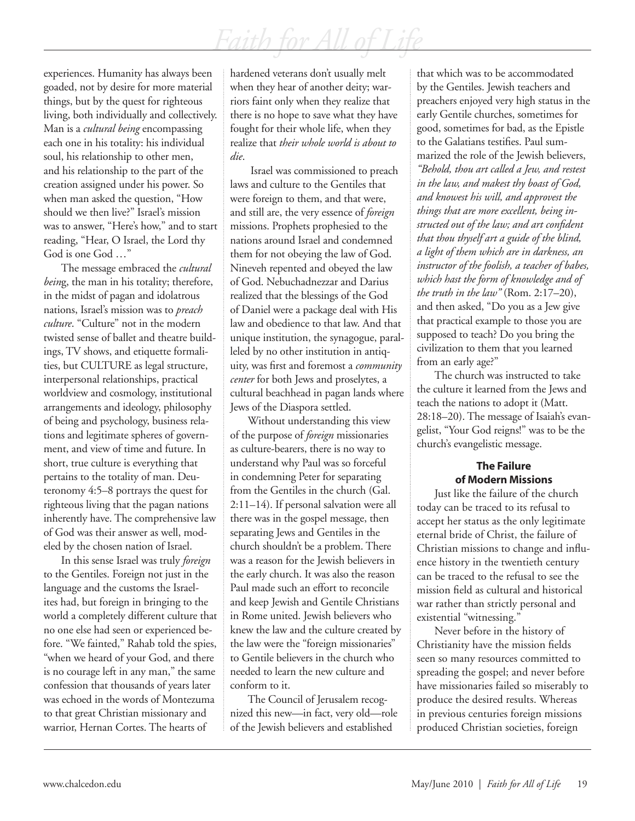experiences. Humanity has always been goaded, not by desire for more material things, but by the quest for righteous living, both individually and collectively. Man is a *cultural being* encompassing each one in his totality: his individual soul, his relationship to other men, and his relationship to the part of the creation assigned under his power. So when man asked the question, "How should we then live?" Israel's mission was to answer, "Here's how," and to start reading, "Hear, O Israel, the Lord thy God is one God …"

The message embraced the *cultural bein*g, the man in his totality; therefore, in the midst of pagan and idolatrous nations, Israel's mission was to *preach culture*. "Culture" not in the modern twisted sense of ballet and theatre buildings, TV shows, and etiquette formalities, but CULTURE as legal structure, interpersonal relationships, practical worldview and cosmology, institutional arrangements and ideology, philosophy of being and psychology, business relations and legitimate spheres of government, and view of time and future. In short, true culture is everything that pertains to the totality of man. Deuteronomy 4:5–8 portrays the quest for righteous living that the pagan nations inherently have. The comprehensive law of God was their answer as well, modeled by the chosen nation of Israel.

In this sense Israel was truly *foreign* to the Gentiles. Foreign not just in the language and the customs the Israelites had, but foreign in bringing to the world a completely different culture that no one else had seen or experienced before. "We fainted," Rahab told the spies, "when we heard of your God, and there is no courage left in any man," the same confession that thousands of years later was echoed in the words of Montezuma to that great Christian missionary and warrior, Hernan Cortes. The hearts of

hardened veterans don't usually melt when they hear of another deity; warriors faint only when they realize that there is no hope to save what they have fought for their whole life, when they realize that *their whole world is about to die*.

 Israel was commissioned to preach laws and culture to the Gentiles that were foreign to them, and that were, and still are, the very essence of *foreign* missions. Prophets prophesied to the nations around Israel and condemned them for not obeying the law of God. Nineveh repented and obeyed the law of God. Nebuchadnezzar and Darius realized that the blessings of the God of Daniel were a package deal with His law and obedience to that law. And that unique institution, the synagogue, paralleled by no other institution in antiquity, was first and foremost a *community center* for both Jews and proselytes, a cultural beachhead in pagan lands where Jews of the Diaspora settled.

Without understanding this view of the purpose of *foreign* missionaries as culture-bearers, there is no way to understand why Paul was so forceful in condemning Peter for separating from the Gentiles in the church (Gal. 2:11–14). If personal salvation were all there was in the gospel message, then separating Jews and Gentiles in the church shouldn't be a problem. There was a reason for the Jewish believers in the early church. It was also the reason Paul made such an effort to reconcile and keep Jewish and Gentile Christians in Rome united. Jewish believers who knew the law and the culture created by the law were the "foreign missionaries" to Gentile believers in the church who needed to learn the new culture and conform to it.

The Council of Jerusalem recognized this new—in fact, very old—role of the Jewish believers and established

that which was to be accommodated by the Gentiles. Jewish teachers and preachers enjoyed very high status in the early Gentile churches, sometimes for good, sometimes for bad, as the Epistle to the Galatians testifies. Paul summarized the role of the Jewish believers, *"Behold, thou art called a Jew, and restest in the law, and makest thy boast of God, and knowest his will, and approvest the things that are more excellent, being instructed out of the law; and art confident that thou thyself art a guide of the blind, a light of them which are in darkness, an instructor of the foolish, a teacher of babes, which hast the form of knowledge and of the truth in the law"* (Rom. 2:17–20), and then asked, "Do you as a Jew give that practical example to those you are supposed to teach? Do you bring the civilization to them that you learned from an early age?"

The church was instructed to take the culture it learned from the Jews and teach the nations to adopt it (Matt. 28:18–20). The message of Isaiah's evangelist, "Your God reigns!" was to be the church's evangelistic message.

### **The Failure of Modern Missions**

Just like the failure of the church today can be traced to its refusal to accept her status as the only legitimate eternal bride of Christ, the failure of Christian missions to change and influence history in the twentieth century can be traced to the refusal to see the mission field as cultural and historical war rather than strictly personal and existential "witnessing."

Never before in the history of Christianity have the mission fields seen so many resources committed to spreading the gospel; and never before have missionaries failed so miserably to produce the desired results. Whereas in previous centuries foreign missions produced Christian societies, foreign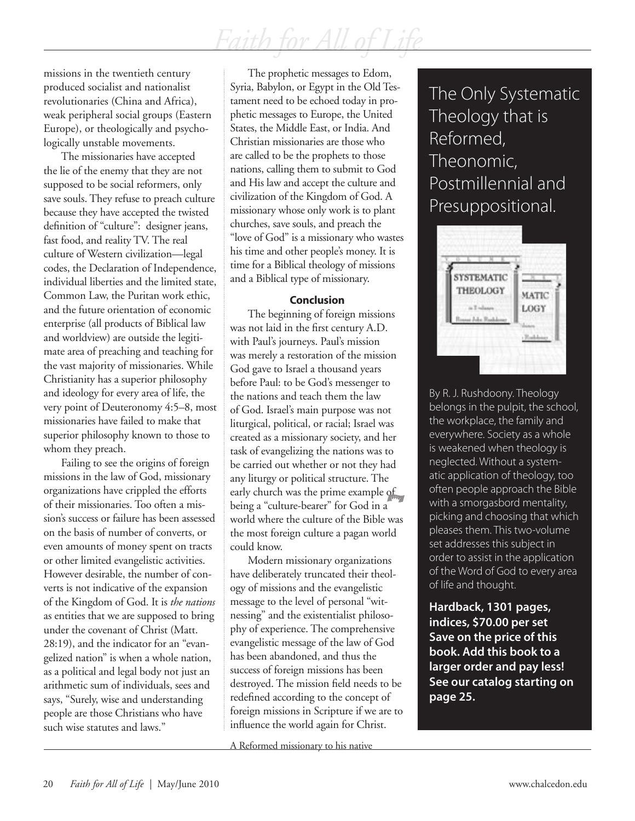missions in the twentieth century produced socialist and nationalist revolutionaries (China and Africa), weak peripheral social groups (Eastern Europe), or theologically and psychologically unstable movements.

The missionaries have accepted the lie of the enemy that they are not supposed to be social reformers, only save souls. They refuse to preach culture because they have accepted the twisted definition of "culture": designer jeans, fast food, and reality TV. The real culture of Western civilization—legal codes, the Declaration of Independence, individual liberties and the limited state, Common Law, the Puritan work ethic, and the future orientation of economic enterprise (all products of Biblical law and worldview) are outside the legitimate area of preaching and teaching for the vast majority of missionaries. While Christianity has a superior philosophy and ideology for every area of life, the very point of Deuteronomy 4:5–8, most missionaries have failed to make that superior philosophy known to those to whom they preach.

Failing to see the origins of foreign missions in the law of God, missionary organizations have crippled the efforts of their missionaries. Too often a mission's success or failure has been assessed on the basis of number of converts, or even amounts of money spent on tracts or other limited evangelistic activities. However desirable, the number of converts is not indicative of the expansion of the Kingdom of God. It is *the nations* as entities that we are supposed to bring under the covenant of Christ (Matt. 28:19), and the indicator for an "evangelized nation" is when a whole nation, as a political and legal body not just an arithmetic sum of individuals, sees and says, "Surely, wise and understanding people are those Christians who have such wise statutes and laws."

The prophetic messages to Edom, Syria, Babylon, or Egypt in the Old Testament need to be echoed today in prophetic messages to Europe, the United States, the Middle East, or India. And Christian missionaries are those who are called to be the prophets to those nations, calling them to submit to God and His law and accept the culture and civilization of the Kingdom of God. A missionary whose only work is to plant churches, save souls, and preach the "love of God" is a missionary who wastes his time and other people's money. It is time for a Biblical theology of missions and a Biblical type of missionary.

#### **Conclusion**

The beginning of foreign missions was not laid in the first century A.D. with Paul's journeys. Paul's mission was merely a restoration of the mission God gave to Israel a thousand years before Paul: to be God's messenger to the nations and teach them the law of God. Israel's main purpose was not liturgical, political, or racial; Israel was created as a missionary society, and her task of evangelizing the nations was to be carried out whether or not they had any liturgy or political structure. The early church was the prime example of being a "culture-bearer" for God in a world where the culture of the Bible was the most foreign culture a pagan world could know.

Modern missionary organizations have deliberately truncated their theology of missions and the evangelistic message to the level of personal "witnessing" and the existentialist philosophy of experience. The comprehensive evangelistic message of the law of God has been abandoned, and thus the success of foreign missions has been destroyed. The mission field needs to be redefined according to the concept of foreign missions in Scripture if we are to influence the world again for Christ.

A Reformed missionary to his native

### The Only Systematic Theology that is Reformed, Theonomic, Postmillennial and Presuppositional.



By R. J. Rushdoony. Theology belongs in the pulpit, the school, the workplace, the family and everywhere. Society as a whole is weakened when theology is neglected. Without a systematic application of theology, too often people approach the Bible with a smorgasbord mentality, picking and choosing that which pleases them. This two-volume set addresses this subject in order to assist in the application of the Word of God to every area of life and thought.

**Hardback, 1301 pages, indices, \$70.00 per set Save on the price of this book. Add this book to a larger order and pay less! See our catalog starting on page 25.**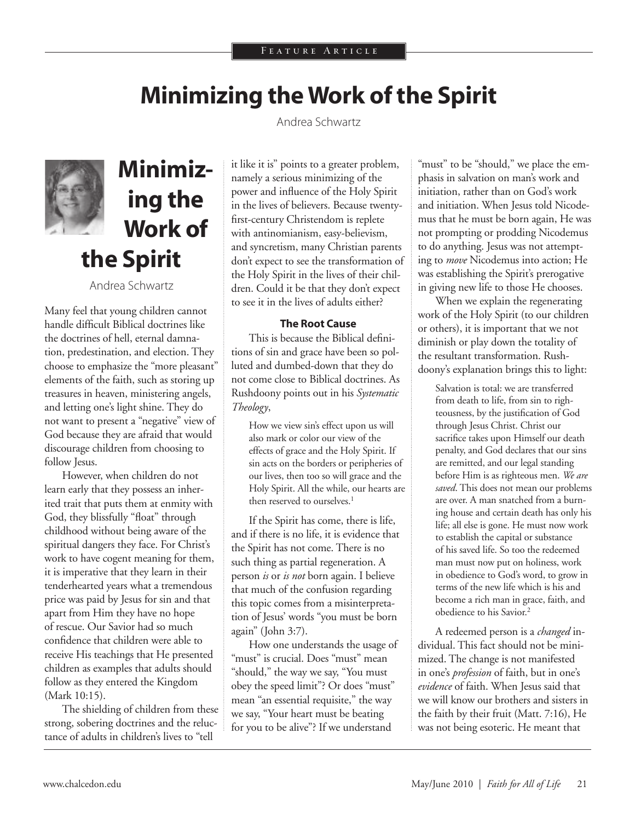## **Minimizing the Work of the Spirit**

Andrea Schwartz



## **Minimizing the Work of the Spirit**

Andrea Schwartz

Many feel that young children cannot handle difficult Biblical doctrines like the doctrines of hell, eternal damnation, predestination, and election. They choose to emphasize the "more pleasant" elements of the faith, such as storing up treasures in heaven, ministering angels, and letting one's light shine. They do not want to present a "negative" view of God because they are afraid that would discourage children from choosing to follow Jesus.

However, when children do not learn early that they possess an inherited trait that puts them at enmity with God, they blissfully "float" through childhood without being aware of the spiritual dangers they face. For Christ's work to have cogent meaning for them, it is imperative that they learn in their tenderhearted years what a tremendous price was paid by Jesus for sin and that apart from Him they have no hope of rescue. Our Savior had so much confidence that children were able to receive His teachings that He presented children as examples that adults should follow as they entered the Kingdom (Mark 10:15).

The shielding of children from these strong, sobering doctrines and the reluctance of adults in children's lives to "tell

it like it is" points to a greater problem, namely a serious minimizing of the power and influence of the Holy Spirit in the lives of believers. Because twentyfirst-century Christendom is replete with antinomianism, easy-believism, and syncretism, many Christian parents don't expect to see the transformation of the Holy Spirit in the lives of their children. Could it be that they don't expect to see it in the lives of adults either?

#### **The Root Cause**

This is because the Biblical definitions of sin and grace have been so polluted and dumbed-down that they do not come close to Biblical doctrines. As Rushdoony points out in his *Systematic Theology*,

> How we view sin's effect upon us will also mark or color our view of the effects of grace and the Holy Spirit. If sin acts on the borders or peripheries of our lives, then too so will grace and the Holy Spirit. All the while, our hearts are then reserved to ourselves.<sup>1</sup>

If the Spirit has come, there is life, and if there is no life, it is evidence that the Spirit has not come. There is no such thing as partial regeneration. A person *is* or *is not* born again. I believe that much of the confusion regarding this topic comes from a misinterpretation of Jesus' words "you must be born again" (John 3:7).

How one understands the usage of "must" is crucial. Does "must" mean "should," the way we say, "You must obey the speed limit"? Or does "must" mean "an essential requisite," the way we say, "Your heart must be beating for you to be alive"? If we understand

"must" to be "should," we place the emphasis in salvation on man's work and initiation, rather than on God's work and initiation. When Jesus told Nicodemus that he must be born again, He was not prompting or prodding Nicodemus to do anything. Jesus was not attempting to *move* Nicodemus into action; He was establishing the Spirit's prerogative in giving new life to those He chooses.

When we explain the regenerating work of the Holy Spirit (to our children or others), it is important that we not diminish or play down the totality of the resultant transformation. Rushdoony's explanation brings this to light:

> Salvation is total: we are transferred from death to life, from sin to righteousness, by the justification of God through Jesus Christ. Christ our sacrifice takes upon Himself our death penalty, and God declares that our sins are remitted, and our legal standing before Him is as righteous men. *We are saved*. This does not mean our problems are over. A man snatched from a burning house and certain death has only his life; all else is gone. He must now work to establish the capital or substance of his saved life. So too the redeemed man must now put on holiness, work in obedience to God's word, to grow in terms of the new life which is his and become a rich man in grace, faith, and obedience to his Savior.2

A redeemed person is a *changed* individual. This fact should not be minimized. The change is not manifested in one's *profession* of faith, but in one's *evidence* of faith. When Jesus said that we will know our brothers and sisters in the faith by their fruit (Matt. 7:16), He was not being esoteric. He meant that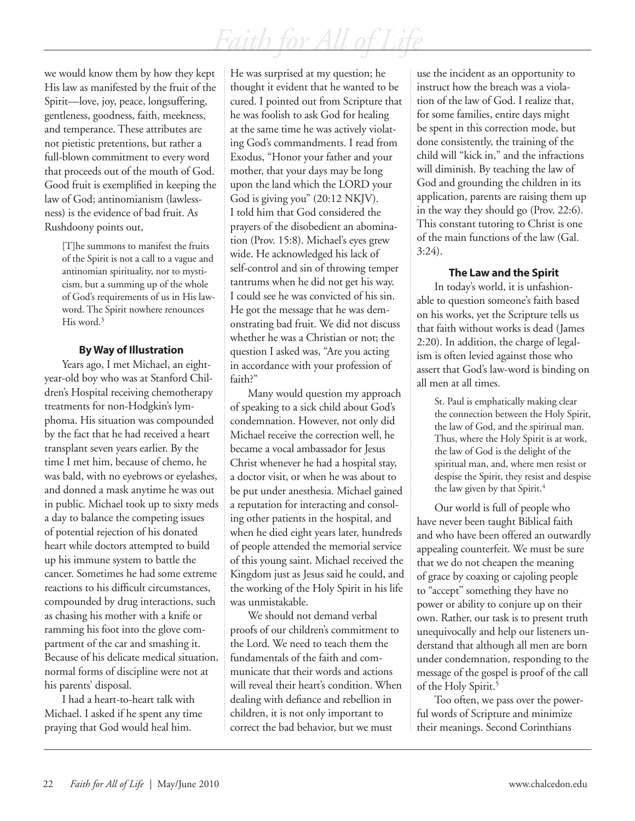we would know them by how they kept His law as manifested by the fruit of the Spirit—love, joy, peace, longsuffering, gentleness, goodness, faith, meekness, and temperance. These attributes are not pietistic pretentions, but rather a full-blown commitment to every word that proceeds out of the mouth of God. Good fruit is exemplified in keeping the law of God; antinomianism (lawlessness) is the evidence of bad fruit. As Rushdoony points out,

[T]he summons to manifest the fruits of the Spirit is not a call to a vague and antinomian spirituality, nor to mysticism, but a summing up of the whole of God's requirements of us in His lawword. The Spirit nowhere renounces His word.<sup>3</sup>

#### **By Way of Illustration**

Years ago, I met Michael, an eightyear-old boy who was at Stanford Children's Hospital receiving chemotherapy treatments for non-Hodgkin's lymphoma. His situation was compounded by the fact that he had received a heart transplant seven years earlier. By the time I met him, because of chemo, he was bald, with no eyebrows or eyelashes, and donned a mask anytime he was out in public. Michael took up to sixty meds a day to balance the competing issues of potential rejection of his donated heart while doctors attempted to build up his immune system to battle the cancer. Sometimes he had some extreme reactions to his difficult circumstances, compounded by drug interactions, such as chasing his mother with a knife or ramming his foot into the glove compartment of the car and smashing it. Because of his delicate medical situation, normal forms of discipline were not at his parents' disposal.

I had a heart-to-heart talk with Michael. I asked if he spent any time praying that God would heal him.

He was surprised at my question; he thought it evident that he wanted to be cured. I pointed out from Scripture that he was foolish to ask God for healing at the same time he was actively violating God's commandments. I read from Exodus, "Honor your father and your mother, that your days may be long upon the land which the LORD your God is giving you" (20:12 NKJV). I told him that God considered the prayers of the disobedient an abomination (Prov. 15:8). Michael's eyes grew wide. He acknowledged his lack of self-control and sin of throwing temper tantrums when he did not get his way. I could see he was convicted of his sin. He got the message that he was demonstrating bad fruit. We did not discuss whether he was a Christian or not; the question I asked was, "Are you acting in accordance with your profession of faith?"

Many would question my approach of speaking to a sick child about God's condemnation. However, not only did Michael receive the correction well, he became a vocal ambassador for Jesus Christ whenever he had a hospital stay, a doctor visit, or when he was about to be put under anesthesia. Michael gained a reputation for interacting and consoling other patients in the hospital, and when he died eight years later, hundreds of people attended the memorial service of this young saint. Michael received the Kingdom just as Jesus said he could, and the working of the Holy Spirit in his life was unmistakable.

We should not demand verbal proofs of our children's commitment to the Lord. We need to teach them the fundamentals of the faith and communicate that their words and actions will reveal their heart's condition. When dealing with defiance and rebellion in children, it is not only important to correct the bad behavior, but we must

use the incident as an opportunity to instruct how the breach was a violation of the law of God. I realize that, for some families, entire days might be spent in this correction mode, but done consistently, the training of the child will "kick in," and the infractions will diminish. By teaching the law of God and grounding the children in its application, parents are raising them up in the way they should go (Prov. 22:6). This constant tutoring to Christ is one of the main functions of the law (Gal. 3:24).

### **The Law and the Spirit**

In today's world, it is unfashionable to question someone's faith based on his works, yet the Scripture tells us that faith without works is dead (James 2:20). In addition, the charge of legalism is often levied against those who assert that God's law-word is binding on all men at all times.

St. Paul is emphatically making clear the connection between the Holy Spirit, the law of God, and the spiritual man. Thus, where the Holy Spirit is at work, the law of God is the delight of the spiritual man, and, where men resist or despise the Spirit, they resist and despise the law given by that Spirit.<sup>4</sup>

Our world is full of people who have never been taught Biblical faith and who have been offered an outwardly appealing counterfeit. We must be sure that we do not cheapen the meaning of grace by coaxing or cajoling people to "accept" something they have no power or ability to conjure up on their own. Rather, our task is to present truth unequivocally and help our listeners understand that although all men are born under condemnation, responding to the message of the gospel is proof of the call of the Holy Spirit.<sup>5</sup>

Too often, we pass over the powerful words of Scripture and minimize their meanings. Second Corinthians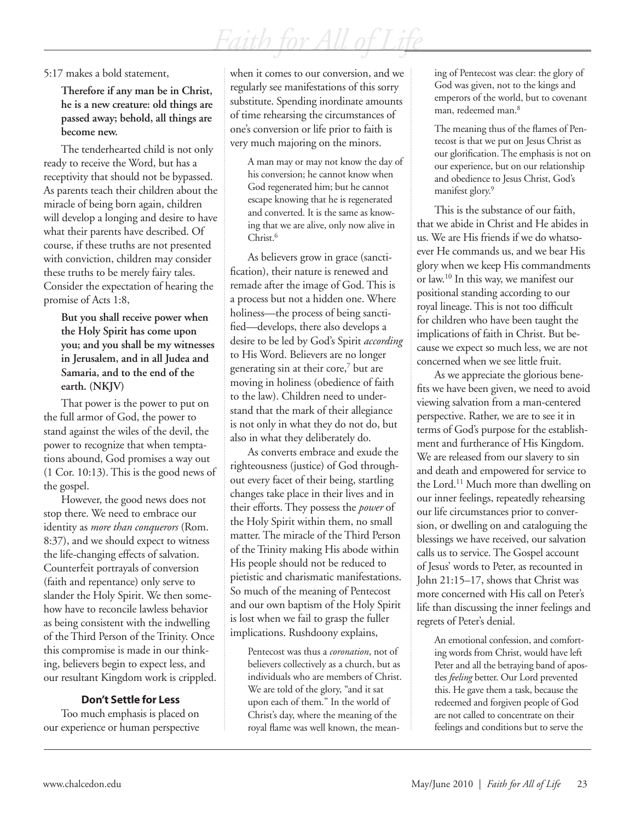#### 5:17 makes a bold statement,

**Therefore if any man be in Christ, he is a new creature: old things are passed away; behold, all things are become new.** 

The tenderhearted child is not only ready to receive the Word, but has a receptivity that should not be bypassed. As parents teach their children about the miracle of being born again, children will develop a longing and desire to have what their parents have described. Of course, if these truths are not presented with conviction, children may consider these truths to be merely fairy tales. Consider the expectation of hearing the promise of Acts 1:8,

**But you shall receive power when the Holy Spirit has come upon you; and you shall be my witnesses in Jerusalem, and in all Judea and Samaria, and to the end of the earth. (NKJV)**

That power is the power to put on the full armor of God, the power to stand against the wiles of the devil, the power to recognize that when temptations abound, God promises a way out (1 Cor. 10:13). This is the good news of the gospel.

However, the good news does not stop there. We need to embrace our identity as *more than conquerors* (Rom. 8:37), and we should expect to witness the life-changing effects of salvation. Counterfeit portrayals of conversion (faith and repentance) only serve to slander the Holy Spirit. We then somehow have to reconcile lawless behavior as being consistent with the indwelling of the Third Person of the Trinity. Once this compromise is made in our thinking, believers begin to expect less, and our resultant Kingdom work is crippled.

#### **Don't Settle for Less**

Too much emphasis is placed on our experience or human perspective when it comes to our conversion, and we regularly see manifestations of this sorry substitute. Spending inordinate amounts of time rehearsing the circumstances of one's conversion or life prior to faith is very much majoring on the minors.

A man may or may not know the day of his conversion; he cannot know when God regenerated him; but he cannot escape knowing that he is regenerated and converted. It is the same as knowing that we are alive, only now alive in Christ.<sup>6</sup>

As believers grow in grace (sanctification), their nature is renewed and remade after the image of God. This is a process but not a hidden one. Where holiness—the process of being sanctified—develops, there also develops a desire to be led by God's Spirit *according* to His Word. Believers are no longer generating sin at their core,<sup>7</sup> but are moving in holiness (obedience of faith to the law). Children need to understand that the mark of their allegiance is not only in what they do not do, but also in what they deliberately do.

As converts embrace and exude the righteousness (justice) of God throughout every facet of their being, startling changes take place in their lives and in their efforts. They possess the *power* of the Holy Spirit within them, no small matter. The miracle of the Third Person of the Trinity making His abode within His people should not be reduced to pietistic and charismatic manifestations. So much of the meaning of Pentecost and our own baptism of the Holy Spirit is lost when we fail to grasp the fuller implications. Rushdoony explains,

Pentecost was thus a *coronation*, not of believers collectively as a church, but as individuals who are members of Christ. We are told of the glory, "and it sat upon each of them." In the world of Christ's day, where the meaning of the royal flame was well known, the meaning of Pentecost was clear: the glory of God was given, not to the kings and emperors of the world, but to covenant man, redeemed man.8

The meaning thus of the flames of Pentecost is that we put on Jesus Christ as our glorification. The emphasis is not on our experience, but on our relationship and obedience to Jesus Christ, God's manifest glory.<sup>9</sup>

This is the substance of our faith, that we abide in Christ and He abides in us. We are His friends if we do whatsoever He commands us, and we bear His glory when we keep His commandments or law.10 In this way, we manifest our positional standing according to our royal lineage. This is not too difficult for children who have been taught the implications of faith in Christ. But because we expect so much less, we are not concerned when we see little fruit.

As we appreciate the glorious benefits we have been given, we need to avoid viewing salvation from a man-centered perspective. Rather, we are to see it in terms of God's purpose for the establishment and furtherance of His Kingdom. We are released from our slavery to sin and death and empowered for service to the Lord.<sup>11</sup> Much more than dwelling on our inner feelings, repeatedly rehearsing our life circumstances prior to conversion, or dwelling on and cataloguing the blessings we have received, our salvation calls us to service. The Gospel account of Jesus' words to Peter, as recounted in John 21:15–17, shows that Christ was more concerned with His call on Peter's life than discussing the inner feelings and regrets of Peter's denial.

An emotional confession, and comforting words from Christ, would have left Peter and all the betraying band of apostles *feeling* better. Our Lord prevented this. He gave them a task, because the redeemed and forgiven people of God are not called to concentrate on their feelings and conditions but to serve the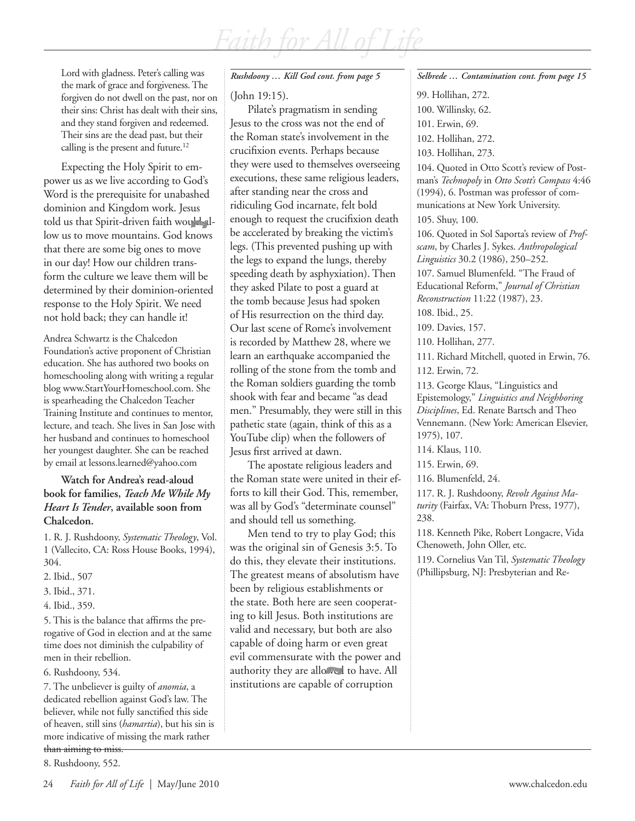Lord with gladness. Peter's calling was the mark of grace and forgiveness. The forgiven do not dwell on the past, nor on their sins: Christ has dealt with their sins, and they stand forgiven and redeemed. Their sins are the dead past, but their calling is the present and future.<sup>12</sup>

Expecting the Holy Spirit to empower us as we live according to God's Word is the prerequisite for unabashed dominion and Kingdom work. Jesus told us that Spirit-driven faith would allow us to move mountains. God knows that there are some big ones to move in our day! How our children transform the culture we leave them will be determined by their dominion-oriented response to the Holy Spirit. We need not hold back; they can handle it!

Andrea Schwartz is the Chalcedon Foundation's active proponent of Christian education. She has authored two books on homeschooling along with writing a regular blog www.StartYourHomeschool.com. She is spearheading the Chalcedon Teacher Training Institute and continues to mentor, lecture, and teach. She lives in San Jose with her husband and continues to homeschool her youngest daughter. She can be reached by email at lessons.learned@yahoo.com

#### **Watch for Andrea's read-aloud book for families,** *Teach Me While My Heart Is Tender***, available soon from Chalcedon.**

1. R. J. Rushdoony, *Systematic Theology*, Vol. 1 (Vallecito, CA: Ross House Books, 1994), 304.

- 2. Ibid., 507
- 3. Ibid., 371.
- 4. Ibid., 359.

5. This is the balance that affirms the prerogative of God in election and at the same time does not diminish the culpability of men in their rebellion.

6. Rushdoony, 534.

7. The unbeliever is guilty of *anomia*, a dedicated rebellion against God's law. The believer, while not fully sanctified this side of heaven, still sins (*hamartia*), but his sin is more indicative of missing the mark rather than aiming to miss.

8. Rushdoony, 552.

#### (John 19:15).

Pilate's pragmatism in sending Jesus to the cross was not the end of the Roman state's involvement in the crucifixion events. Perhaps because they were used to themselves overseeing executions, these same religious leaders, after standing near the cross and ridiculing God incarnate, felt bold enough to request the crucifixion death be accelerated by breaking the victim's legs. (This prevented pushing up with the legs to expand the lungs, thereby speeding death by asphyxiation). Then they asked Pilate to post a guard at the tomb because Jesus had spoken of His resurrection on the third day. Our last scene of Rome's involvement is recorded by Matthew 28, where we learn an earthquake accompanied the rolling of the stone from the tomb and the Roman soldiers guarding the tomb shook with fear and became "as dead men." Presumably, they were still in this pathetic state (again, think of this as a YouTube clip) when the followers of Jesus first arrived at dawn.

The apostate religious leaders and the Roman state were united in their efforts to kill their God. This, remember, was all by God's "determinate counsel" and should tell us something.

Men tend to try to play God; this was the original sin of Genesis 3:5. To do this, they elevate their institutions. The greatest means of absolutism have been by religious establishments or the state. Both here are seen cooperating to kill Jesus. Both institutions are valid and necessary, but both are also capable of doing harm or even great evil commensurate with the power and authority they are allowed to have. All institutions are capable of corruption

#### *Rushdoony … Kill God cont. from page 5 Selbrede … Contamination cont. from page 15*

- 99. Hollihan, 272.
- 100. Willinsky, 62.
- 101. Erwin, 69.

102. Hollihan, 272.

103. Hollihan, 273.

104. Quoted in Otto Scott's review of Postman's *Technopoly* in *Otto Scott's Compass* 4:46 (1994), 6. Postman was professor of communications at New York University.

105. Shuy, 100.

106. Quoted in Sol Saporta's review of *Profscam*, by Charles J. Sykes. *Anthropological Linguistics* 30.2 (1986), 250–252.

107. Samuel Blumenfeld. "The Fraud of Educational Reform," *Journal of Christian Reconstruction* 11:22 (1987), 23.

108. Ibid., 25.

109. Davies, 157.

110. Hollihan, 277.

111. Richard Mitchell, quoted in Erwin, 76.

112. Erwin, 72.

113. George Klaus, "Linguistics and Epistemology," *Linguistics and Neighboring Disciplines*, Ed. Renate Bartsch and Theo Vennemann. (New York: American Elsevier, 1975), 107.

114. Klaus, 110.

115. Erwin, 69.

116. Blumenfeld, 24.

117. R. J. Rushdoony, *Revolt Against Maturity* (Fairfax, VA: Thoburn Press, 1977), 238.

118. Kenneth Pike, Robert Longacre, Vida Chenoweth, John Oller, etc.

119. Cornelius Van Til, *Systematic Theology*  (Phillipsburg, NJ: Presbyterian and Re-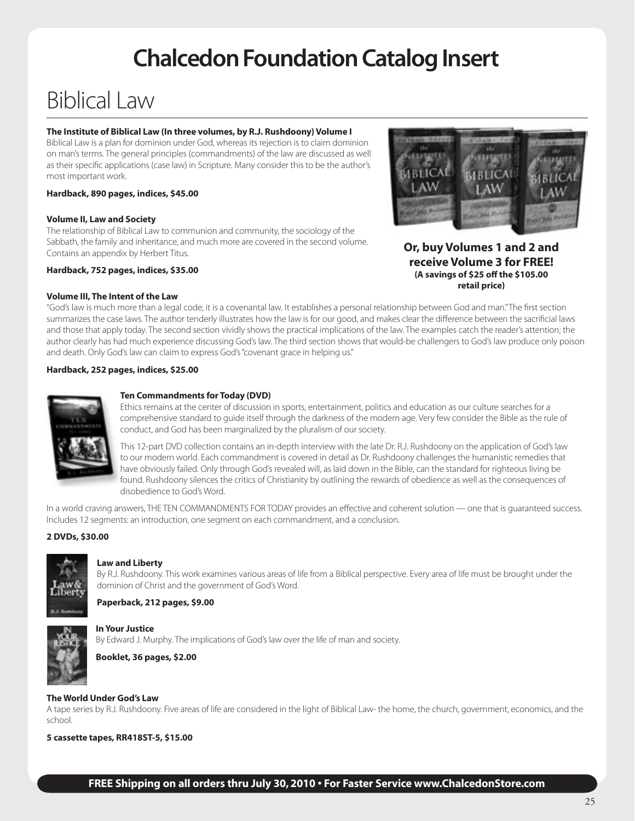## **Chalcedon Foundation Catalog Insert**

## Biblical Law

#### **The Institute of Biblical Law (In three volumes, by R.J. Rushdoony) Volume I**

Biblical Law is a plan for dominion under God, whereas its rejection is to claim dominion on man's terms. The general principles (commandments) of the law are discussed as well as their specific applications (case law) in Scripture. Many consider this to be the author's most important work.

#### **Hardback, 890 pages, indices, \$45.00**

#### **Volume II, Law and Society**

The relationship of Biblical Law to communion and community, the sociology of the Sabbath, the family and inheritance, and much more are covered in the second volume. Contains an appendix by Herbert Titus.

#### **Hardback, 752 pages, indices, \$35.00**

#### **Volume III, The Intent of the Law**



**Or, buy Volumes 1 and 2 and receive Volume 3 for FREE! (A savings of \$25 off the \$105.00 retail price)**

"God's law is much more than a legal code; it is a covenantal law. It establishes a personal relationship between God and man." The first section summarizes the case laws. The author tenderly illustrates how the law is for our good, and makes clear the difference between the sacrificial laws and those that apply today. The second section vividly shows the practical implications of the law. The examples catch the reader's attention; the author clearly has had much experience discussing God's law. The third section shows that would-be challengers to God's law produce only poison and death. Only God's law can claim to express God's "covenant grace in helping us."

#### **Hardback, 252 pages, indices, \$25.00**



#### **Ten Commandments for Today (DVD)**

Ethics remains at the center of discussion in sports, entertainment, politics and education as our culture searches for a comprehensive standard to guide itself through the darkness of the modern age. Very few consider the Bible as the rule of conduct, and God has been marginalized by the pluralism of our society.

This 12-part DVD collection contains an in-depth interview with the late Dr. R.J. Rushdoony on the application of God's law to our modern world. Each commandment is covered in detail as Dr. Rushdoony challenges the humanistic remedies that have obviously failed. Only through God's revealed will, as laid down in the Bible, can the standard for righteous living be found. Rushdoony silences the critics of Christianity by outlining the rewards of obedience as well as the consequences of disobedience to God's Word.

In a world craving answers, THE TEN COMMANDMENTS FOR TODAY provides an effective and coherent solution — one that is guaranteed success. Includes 12 segments: an introduction, one segment on each commandment, and a conclusion.

#### **2 DVDs, \$30.00**



#### **Law and Liberty**

By R.J. Rushdoony. This work examines various areas of life from a Biblical perspective. Every area of life must be brought under the dominion of Christ and the government of God's Word.

#### **Paperback, 212 pages, \$9.00**



#### **In Your Justice**

By Edward J. Murphy. The implications of God's law over the life of man and society.

**Booklet, 36 pages, \$2.00**

#### **The World Under God's Law**

A tape series by R.J. Rushdoony. Five areas of life are considered in the light of Biblical Law- the home, the church, government, economics, and the school.

**5 cassette tapes, RR418ST-5, \$15.00**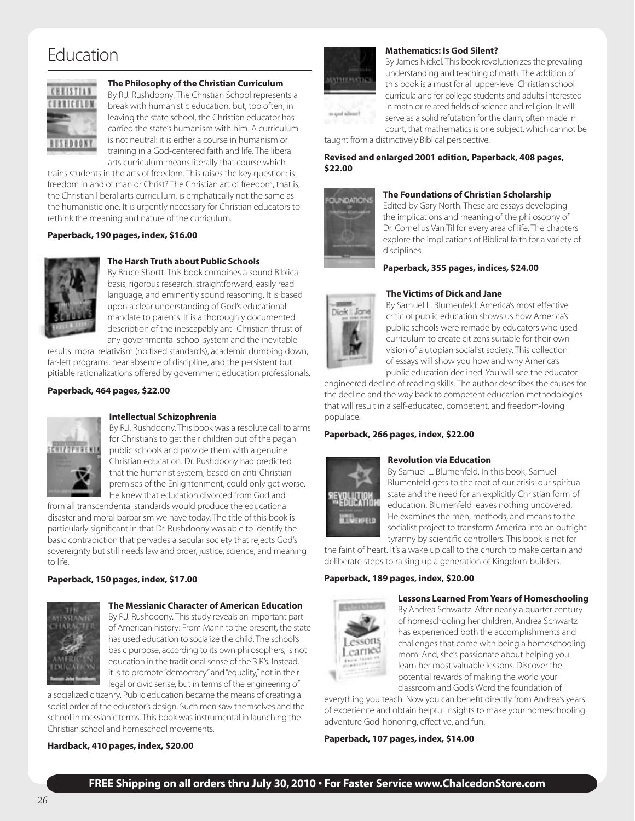### Education



#### **The Philosophy of the Christian Curriculum**

By R.J. Rushdoony. The Christian School represents a break with humanistic education, but, too often, in leaving the state school, the Christian educator has carried the state's humanism with him. A curriculum is not neutral: it is either a course in humanism or training in a God-centered faith and life. The liberal arts curriculum means literally that course which

trains students in the arts of freedom. This raises the key question: is freedom in and of man or Christ? The Christian art of freedom, that is, the Christian liberal arts curriculum, is emphatically not the same as the humanistic one. It is urgently necessary for Christian educators to rethink the meaning and nature of the curriculum.

#### **Paperback, 190 pages, index, \$16.00**



#### **The Harsh Truth about Public Schools**

By Bruce Shortt. This book combines a sound Biblical basis, rigorous research, straightforward, easily read language, and eminently sound reasoning. It is based upon a clear understanding of God's educational mandate to parents. It is a thoroughly documented description of the inescapably anti-Christian thrust of any governmental school system and the inevitable

results: moral relativism (no fixed standards), academic dumbing down, far-left programs, near absence of discipline, and the persistent but pitiable rationalizations offered by government education professionals.

#### **Paperback, 464 pages, \$22.00**



#### **Intellectual Schizophrenia**

By R.J. Rushdoony. This book was a resolute call to arms for Christian's to get their children out of the pagan public schools and provide them with a genuine Christian education. Dr. Rushdoony had predicted that the humanist system, based on anti-Christian premises of the Enlightenment, could only get worse. He knew that education divorced from God and

from all transcendental standards would produce the educational disaster and moral barbarism we have today. The title of this book is particularly significant in that Dr. Rushdoony was able to identify the basic contradiction that pervades a secular society that rejects God's sovereignty but still needs law and order, justice, science, and meaning to life.

#### **Paperback, 150 pages, index, \$17.00**



#### **The Messianic Character of American Education**

By R.J. Rushdoony. This study reveals an important part of American history: From Mann to the present, the state has used education to socialize the child. The school's basic purpose, according to its own philosophers, is not education in the traditional sense of the 3 R's. Instead, it is to promote "democracy" and "equality," not in their legal or civic sense, but in terms of the engineering of

a socialized citizenry. Public education became the means of creating a social order of the educator's design. Such men saw themselves and the school in messianic terms. This book was instrumental in launching the Christian school and homeschool movements.

#### **Hardback, 410 pages, index, \$20.00**



#### **Mathematics: Is God Silent?**

By James Nickel. This book revolutionizes the prevailing understanding and teaching of math. The addition of this book is a must for all upper-level Christian school curricula and for college students and adults interested in math or related fields of science and religion. It will serve as a solid refutation for the claim, often made in court, that mathematics is one subject, which cannot be

taught from a distinctively Biblical perspective.

#### **Revised and enlarged 2001 edition, Paperback, 408 pages, \$22.00**



#### **The Foundations of Christian Scholarship**

Edited by Gary North. These are essays developing the implications and meaning of the philosophy of Dr. Cornelius Van Til for every area of life. The chapters explore the implications of Biblical faith for a variety of disciplines.

**Paperback, 355 pages, indices, \$24.00**

#### **The Victims of Dick and Jane**



By Samuel L. Blumenfeld. America's most effective critic of public education shows us how America's public schools were remade by educators who used curriculum to create citizens suitable for their own vision of a utopian socialist society. This collection of essays will show you how and why America's public education declined. You will see the educator-

engineered decline of reading skills. The author describes the causes for the decline and the way back to competent education methodologies that will result in a self-educated, competent, and freedom-loving populace.

#### **Paperback, 266 pages, index, \$22.00**



#### **Revolution via Education**

By Samuel L. Blumenfeld. In this book, Samuel Blumenfeld gets to the root of our crisis: our spiritual state and the need for an explicitly Christian form of education. Blumenfeld leaves nothing uncovered. He examines the men, methods, and means to the socialist project to transform America into an outright tyranny by scientific controllers. This book is not for

the faint of heart. It's a wake up call to the church to make certain and deliberate steps to raising up a generation of Kingdom-builders.

#### **Paperback, 189 pages, index, \$20.00**



#### **Lessons Learned From Years of Homeschooling**

By Andrea Schwartz. After nearly a quarter century of homeschooling her children, Andrea Schwartz has experienced both the accomplishments and challenges that come with being a homeschooling mom. And, she's passionate about helping you learn her most valuable lessons. Discover the potential rewards of making the world your classroom and God's Word the foundation of

everything you teach. Now you can benefit directly from Andrea's years of experience and obtain helpful insights to make your homeschooling adventure God-honoring, effective, and fun.

**Paperback, 107 pages, index, \$14.00**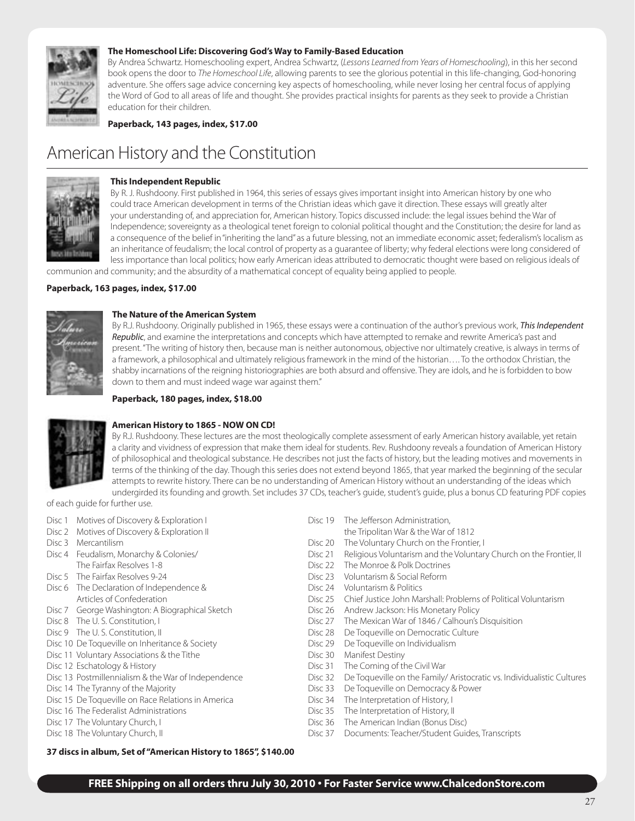

#### **The Homeschool Life: Discovering God's Way to Family-Based Education**

By Andrea Schwartz. Homeschooling expert, Andrea Schwartz, (*Lessons Learned from Years of Homeschooling*), in this her second book opens the door to *The Homeschool Life*, allowing parents to see the glorious potential in this life-changing, God-honoring adventure. She offers sage advice concerning key aspects of homeschooling, while never losing her central focus of applying the Word of God to all areas of life and thought. She provides practical insights for parents as they seek to provide a Christian education for their children.

**Paperback, 143 pages, index, \$17.00**

### American History and the Constitution



#### **This Independent Republic**

By R. J. Rushdoony. First published in 1964, this series of essays gives important insight into American history by one who could trace American development in terms of the Christian ideas which gave it direction. These essays will greatly alter your understanding of, and appreciation for, American history. Topics discussed include: the legal issues behind the War of Independence; sovereignty as a theological tenet foreign to colonial political thought and the Constitution; the desire for land as a consequence of the belief in "inheriting the land" as a future blessing, not an immediate economic asset; federalism's localism as an inheritance of feudalism; the local control of property as a guarantee of liberty; why federal elections were long considered of less importance than local politics; how early American ideas attributed to democratic thought were based on religious ideals of communion and community; and the absurdity of a mathematical concept of equality being applied to people.

**Paperback, 163 pages, index, \$17.00**



#### **The Nature of the American System**

By R.J. Rushdoony. Originally published in 1965, these essays were a continuation of the author's previous work, *This Independent Republic*, and examine the interpretations and concepts which have attempted to remake and rewrite America's past and present. "The writing of history then, because man is neither autonomous, objective nor ultimately creative, is always in terms of a framework, a philosophical and ultimately religious framework in the mind of the historian…. To the orthodox Christian, the shabby incarnations of the reigning historiographies are both absurd and offensive. They are idols, and he is forbidden to bow down to them and must indeed wage war against them."

#### **Paperback, 180 pages, index, \$18.00**



#### **American History to 1865 - NOW ON CD!**

By R.J. Rushdoony. These lectures are the most theologically complete assessment of early American history available, yet retain a clarity and vividness of expression that make them ideal for students. Rev. Rushdoony reveals a foundation of American History of philosophical and theological substance. He describes not just the facts of history, but the leading motives and movements in terms of the thinking of the day. Though this series does not extend beyond 1865, that year marked the beginning of the secular attempts to rewrite history. There can be no understanding of American History without an understanding of the ideas which undergirded its founding and growth. Set includes 37 CDs, teacher's guide, student's guide, plus a bonus CD featuring PDF copies

of each guide for further use.

- Disc 1 Motives of Discovery & Exploration I Disc 19 The Jefferson Administration,
- 
- 
- 
- 
- Disc 5 The Fairfax Resolves 9-24 **Disc 23 Voluntarism & Social Reform**<br>
Disc 6 The Declaration of Independence & Disc 24 Voluntarism & Politics Disc 6 The Declaration of Independence &
- Disc 7 George Washington: A Biographical Sketch Disc 26 Andrew Jackson: His Monetary Policy
- 
- 
- Disc 10 De Toqueville on Inheritance & Society **Disc 29** De Toqueville on Individualism
- Disc 11 Voluntary Associations & the Tithe Disc 30 Manifest Destiny
- 
- 
- 
- Disc 15 De Toqueville on Race Relations in America Disc 34 The Interpretation of History, I
- 
- 
- 

- Disc 2 Motives of Discovery & Exploration II the Tripolitan War & the War of 1812
- Disc 3 Mercantilism Disc 20 The Voluntary Church on the Frontier, I<br>Disc 4 Feudalism, Monarchy & Colonies/ Church 2008 Disc 21 Religious Voluntarism and the Voluntar
	- Disc 21 Religious Voluntarism and the Voluntary Church on the Frontier, II
	- The Fairfax Resolves 1-8 **Disc 22** The Monroe & Polk Doctrines
		-
		-
	- Articles of Confederation Disc 25 Chief Justice John Marshall: Problems of Political Voluntarism
		-
- Disc 8 The U.S. Constitution, I Disc 27 The Mexican War of 1846 / Calhoun's Disquisition
- Disc 9 The U. S. Constitution, II Disc 28 De Toqueville on Democratic Culture
	-
	-
- Disc 12 Eschatology & History **Disc 31** The Coming of the Civil War
- Disc 13 Postmillennialism & the War of Independence Disc 32 De Toqueville on the Family/ Aristocratic vs. Individualistic Cultures
- Disc 14 The Tyranny of the Majority **Disc 33** De Toqueville on Democracy & Power
	-
- Disc 16 The Federalist Administrations **Disc 35** The Interpretation of History, II
- Disc 17 The Voluntary Church, I Disc 36 The American Indian (Bonus Disc)
- Disc 18 The Voluntary Church, II Disc 37 Documents: Teacher/Student Guides, Transcripts

#### **37 discs in album, Set of "American History to 1865", \$140.00**

#### **FREE Shipping on all orders thru July 30, 2010 • For Faster Service www.ChalcedonStore.com**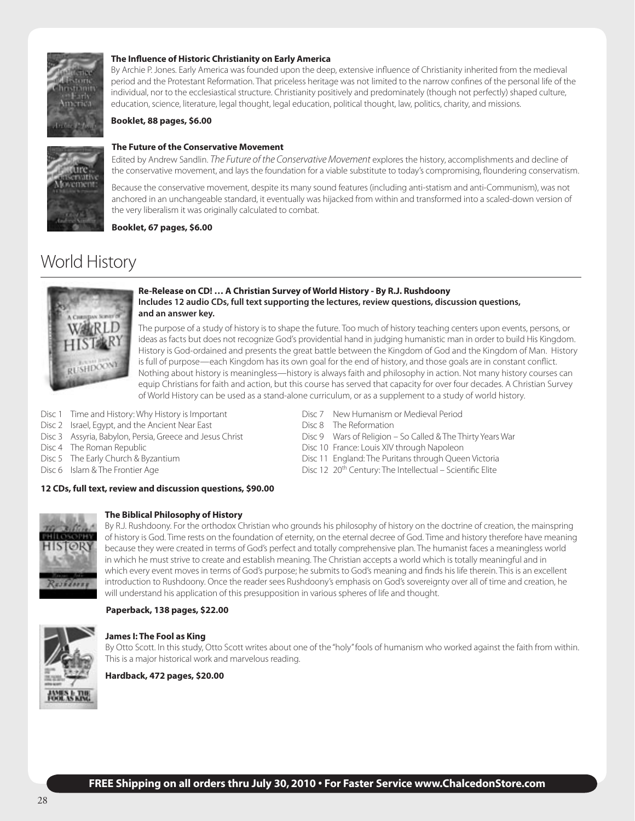

#### **The Influence of Historic Christianity on Early America**

By Archie P. Jones. Early America was founded upon the deep, extensive influence of Christianity inherited from the medieval period and the Protestant Reformation. That priceless heritage was not limited to the narrow confines of the personal life of the individual, nor to the ecclesiastical structure. Christianity positively and predominately (though not perfectly) shaped culture, education, science, literature, legal thought, legal education, political thought, law, politics, charity, and missions.

#### **Booklet, 88 pages, \$6.00**



#### **The Future of the Conservative Movement**

Edited by Andrew Sandlin. *The Future of the Conservative Movement* explores the history, accomplishments and decline of the conservative movement, and lays the foundation for a viable substitute to today's compromising, floundering conservatism.

Because the conservative movement, despite its many sound features (including anti-statism and anti-Communism), was not anchored in an unchangeable standard, it eventually was hijacked from within and transformed into a scaled-down version of the very liberalism it was originally calculated to combat.

**Booklet, 67 pages, \$6.00**

### World History



#### **Re-Release on CD! … A Christian Survey of World History - By R.J. Rushdoony Includes 12 audio CDs, full text supporting the lectures, review questions, discussion questions, and an answer key.**

The purpose of a study of history is to shape the future. Too much of history teaching centers upon events, persons, or ideas as facts but does not recognize God's providential hand in judging humanistic man in order to build His Kingdom. History is God-ordained and presents the great battle between the Kingdom of God and the Kingdom of Man. History is full of purpose—each Kingdom has its own goal for the end of history, and those goals are in constant conflict. Nothing about history is meaningless—history is always faith and philosophy in action. Not many history courses can equip Christians for faith and action, but this course has served that capacity for over four decades. A Christian Survey of World History can be used as a stand-alone curriculum, or as a supplement to a study of world history.

- Disc 1 Time and History: Why History is Important Disc 7 New Humanism or Medieval Period<br>Disc 2 Israel. Egypt. and the Ancient Near East Disc 8 The Reformation
- Disc 2 Israel, Egypt, and the Ancient Near East
- Disc 3 Assyria, Babylon, Persia, Greece and Jesus Christ Disc 9 Wars of Religion So Called & The Thirty Years War
- Disc 4 The Roman Republic **Disc 10 France: Louis XIV through Napoleon**
- Disc 5 The Early Church & Byzantium **Disc 11** England: The Puritans through Queen Victoria
- Disc 6 Islam & The Frontier Age Disc 12 20th Century: The Intellectual Scientific Elite

#### **12 CDs, full text, review and discussion questions, \$90.00**



#### **The Biblical Philosophy of History**

By R.J. Rushdoony. For the orthodox Christian who grounds his philosophy of history on the doctrine of creation, the mainspring of history is God. Time rests on the foundation of eternity, on the eternal decree of God. Time and history therefore have meaning because they were created in terms of God's perfect and totally comprehensive plan. The humanist faces a meaningless world in which he must strive to create and establish meaning. The Christian accepts a world which is totally meaningful and in which every event moves in terms of God's purpose; he submits to God's meaning and finds his life therein. This is an excellent introduction to Rushdoony. Once the reader sees Rushdoony's emphasis on God's sovereignty over all of time and creation, he will understand his application of this presupposition in various spheres of life and thought.

#### **Paperback, 138 pages, \$22.00**



#### **James I: The Fool as King**

By Otto Scott. In this study, Otto Scott writes about one of the "holy" fools of humanism who worked against the faith from within. This is a major historical work and marvelous reading.

**Hardback, 472 pages, \$20.00**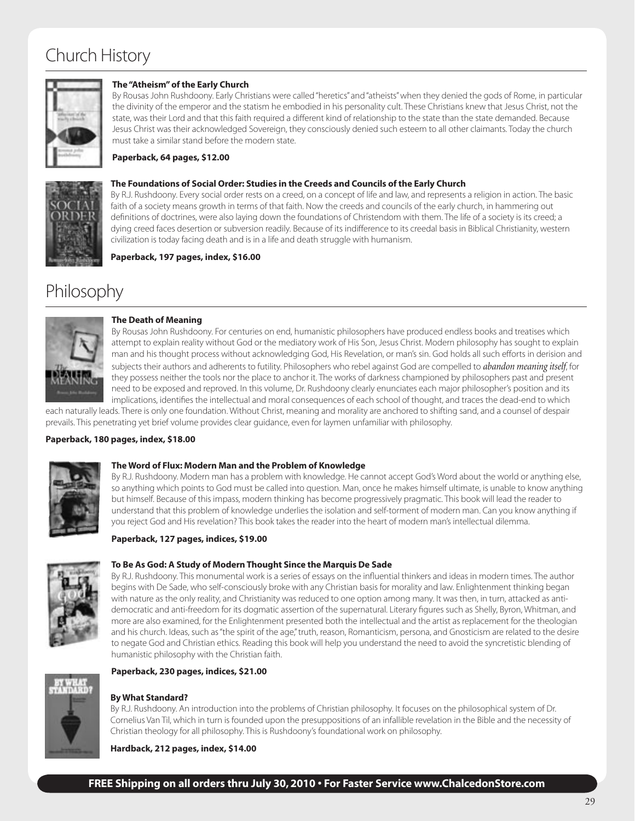### Church History



#### **The "Atheism" of the Early Church**

By Rousas John Rushdoony. Early Christians were called "heretics" and "atheists" when they denied the gods of Rome, in particular the divinity of the emperor and the statism he embodied in his personality cult. These Christians knew that Jesus Christ, not the state, was their Lord and that this faith required a different kind of relationship to the state than the state demanded. Because Jesus Christ was their acknowledged Sovereign, they consciously denied such esteem to all other claimants. Today the church must take a similar stand before the modern state.

#### **Paperback, 64 pages, \$12.00**



#### **The Foundations of Social Order: Studies in the Creeds and Councils of the Early Church**

By R.J. Rushdoony. Every social order rests on a creed, on a concept of life and law, and represents a religion in action. The basic faith of a society means growth in terms of that faith. Now the creeds and councils of the early church, in hammering out definitions of doctrines, were also laying down the foundations of Christendom with them. The life of a society is its creed; a dying creed faces desertion or subversion readily. Because of its indifference to its creedal basis in Biblical Christianity, western civilization is today facing death and is in a life and death struggle with humanism.

**Paperback, 197 pages, index, \$16.00**

### Philosophy



#### **The Death of Meaning**

By Rousas John Rushdoony. For centuries on end, humanistic philosophers have produced endless books and treatises which attempt to explain reality without God or the mediatory work of His Son, Jesus Christ. Modern philosophy has sought to explain man and his thought process without acknowledging God, His Revelation, or man's sin. God holds all such efforts in derision and subjects their authors and adherents to futility. Philosophers who rebel against God are compelled to *abandon meaning itself*, for they possess neither the tools nor the place to anchor it. The works of darkness championed by philosophers past and present need to be exposed and reproved. In this volume, Dr. Rushdoony clearly enunciates each major philosopher's position and its implications, identifies the intellectual and moral consequences of each school of thought, and traces the dead-end to which

each naturally leads. There is only one foundation. Without Christ, meaning and morality are anchored to shifting sand, and a counsel of despair prevails. This penetrating yet brief volume provides clear guidance, even for laymen unfamiliar with philosophy.

#### **Paperback, 180 pages, index, \$18.00**



#### **The Word of Flux: Modern Man and the Problem of Knowledge**

By R.J. Rushdoony. Modern man has a problem with knowledge. He cannot accept God's Word about the world or anything else, so anything which points to God must be called into question. Man, once he makes himself ultimate, is unable to know anything but himself. Because of this impass, modern thinking has become progressively pragmatic. This book will lead the reader to understand that this problem of knowledge underlies the isolation and self-torment of modern man. Can you know anything if you reject God and His revelation? This book takes the reader into the heart of modern man's intellectual dilemma.

#### **Paperback, 127 pages, indices, \$19.00**



#### **To Be As God: A Study of Modern Thought Since the Marquis De Sade**

By R.J. Rushdoony. This monumental work is a series of essays on the influential thinkers and ideas in modern times. The author begins with De Sade, who self-consciously broke with any Christian basis for morality and law. Enlightenment thinking began with nature as the only reality, and Christianity was reduced to one option among many. It was then, in turn, attacked as antidemocratic and anti-freedom for its dogmatic assertion of the supernatural. Literary figures such as Shelly, Byron, Whitman, and more are also examined, for the Enlightenment presented both the intellectual and the artist as replacement for the theologian and his church. Ideas, such as "the spirit of the age," truth, reason, Romanticism, persona, and Gnosticism are related to the desire to negate God and Christian ethics. Reading this book will help you understand the need to avoid the syncretistic blending of humanistic philosophy with the Christian faith.



#### **Paperback, 230 pages, indices, \$21.00**

**By What Standard?** By R.J. Rushdoony. An introduction into the problems of Christian philosophy. It focuses on the philosophical system of Dr. Cornelius Van Til, which in turn is founded upon the presuppositions of an infallible revelation in the Bible and the necessity of Christian theology for all philosophy. This is Rushdoony's foundational work on philosophy.

**Hardback, 212 pages, index, \$14.00**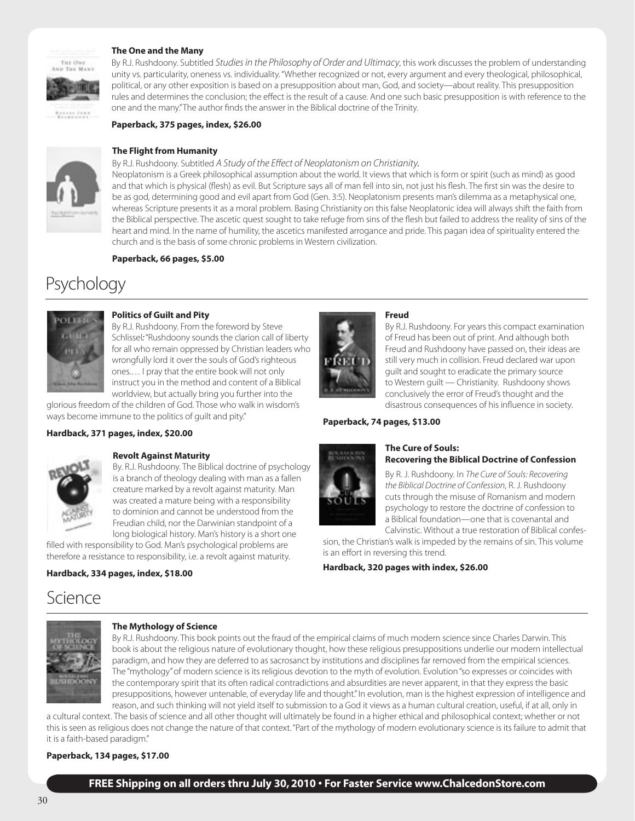#### **The One and the Many**





ensas fons

By R.J. Rushdoony. Subtitled *Studies in the Philosophy of Order and Ultimacy*, this work discusses the problem of understanding

unity vs. particularity, oneness vs. individuality. "Whether recognized or not, every argument and every theological, philosophical, political, or any other exposition is based on a presupposition about man, God, and society—about reality. This presupposition rules and determines the conclusion; the effect is the result of a cause. And one such basic presupposition is with reference to the one and the many." The author finds the answer in the Biblical doctrine of the Trinity.

#### **Paperback, 375 pages, index, \$26.00**



#### **The Flight from Humanity** By R.J. Rushdoony. Subtitled *A Study of the Effect of Neoplatonism on Christianity.*

Neoplatonism is a Greek philosophical assumption about the world. It views that which is form or spirit (such as mind) as good and that which is physical (flesh) as evil. But Scripture says all of man fell into sin, not just his flesh. The first sin was the desire to be as god, determining good and evil apart from God (Gen. 3:5). Neoplatonism presents man's dilemma as a metaphysical one, whereas Scripture presents it as a moral problem. Basing Christianity on this false Neoplatonic idea will always shift the faith from the Biblical perspective. The ascetic quest sought to take refuge from sins of the flesh but failed to address the reality of sins of the heart and mind. In the name of humility, the ascetics manifested arrogance and pride. This pagan idea of spirituality entered the church and is the basis of some chronic problems in Western civilization.

#### **Paperback, 66 pages, \$5.00**

### Psychology



#### **Politics of Guilt and Pity**

By R.J. Rushdoony. From the foreword by Steve Schlissel*:* "Rushdoony sounds the clarion call of liberty for all who remain oppressed by Christian leaders who wrongfully lord it over the souls of God's righteous ones.… I pray that the entire book will not only instruct you in the method and content of a Biblical worldview, but actually bring you further into the

glorious freedom of the children of God. Those who walk in wisdom's ways become immune to the politics of guilt and pity."

#### **Hardback, 371 pages, index, \$20.00**



#### **Revolt Against Maturity**

By. R.J. Rushdoony. The Biblical doctrine of psychology is a branch of theology dealing with man as a fallen creature marked by a revolt against maturity. Man was created a mature being with a responsibility to dominion and cannot be understood from the Freudian child, nor the Darwinian standpoint of a long biological history. Man's history is a short one

filled with responsibility to God. Man's psychological problems are therefore a resistance to responsibility, i.e. a revolt against maturity.

#### **Hardback, 334 pages, index, \$18.00**

### Science



#### **The Mythology of Science**

By R.J. Rushdoony. This book points out the fraud of the empirical claims of much modern science since Charles Darwin. This book is about the religious nature of evolutionary thought, how these religious presuppositions underlie our modern intellectual paradigm, and how they are deferred to as sacrosanct by institutions and disciplines far removed from the empirical sciences. The "mythology" of modern science is its religious devotion to the myth of evolution. Evolution "so expresses or coincides with the contemporary spirit that its often radical contradictions and absurdities are never apparent, in that they express the basic presuppositions, however untenable, of everyday life and thought." In evolution, man is the highest expression of intelligence and reason, and such thinking will not yield itself to submission to a God it views as a human cultural creation, useful, if at all, only in

a cultural context. The basis of science and all other thought will ultimately be found in a higher ethical and philosophical context; whether or not this is seen as religious does not change the nature of that context. "Part of the mythology of modern evolutionary science is its failure to admit that it is a faith-based paradigm."

#### **Paperback, 134 pages, \$17.00**



#### **Freud**

By R.J. Rushdoony. For years this compact examination of Freud has been out of print. And although both Freud and Rushdoony have passed on, their ideas are still very much in collision. Freud declared war upon guilt and sought to eradicate the primary source to Western guilt — Christianity. Rushdoony shows conclusively the error of Freud's thought and the disastrous consequences of his influence in society.

#### **Paperback, 74 pages, \$13.00**



#### **The Cure of Souls: Recovering the Biblical Doctrine of Confession**

By R. J. Rushdoony. In *The Cure of Souls: Recovering the Biblical Doctrine of Confession*, R. J. Rushdoony cuts through the misuse of Romanism and modern psychology to restore the doctrine of confession to a Biblical foundation—one that is covenantal and Calvinstic. Without a true restoration of Biblical confes-

sion, the Christian's walk is impeded by the remains of sin. This volume is an effort in reversing this trend.

**Hardback, 320 pages with index, \$26.00**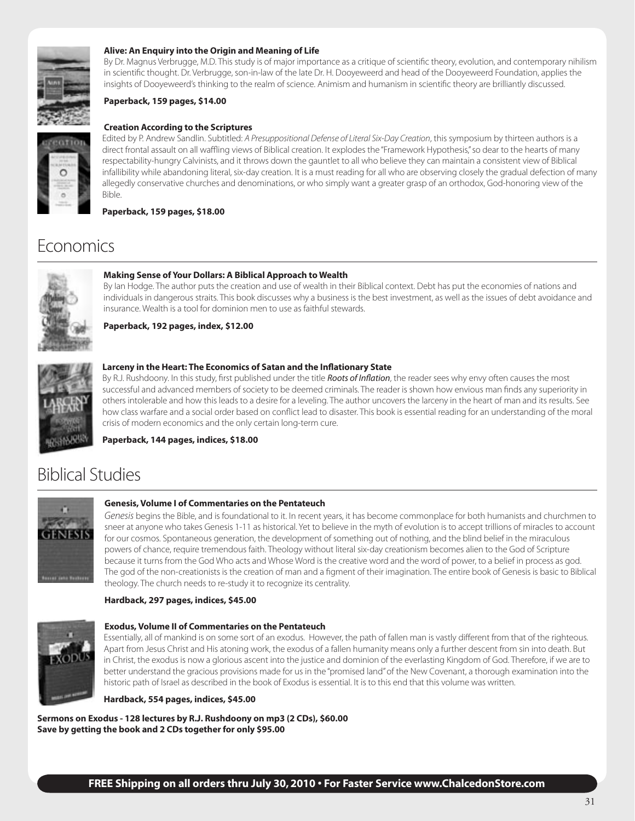

#### **Alive: An Enquiry into the Origin and Meaning of Life**

By Dr. Magnus Verbrugge, M.D. This study is of major importance as a critique of scientific theory, evolution, and contemporary nihilism in scientific thought. Dr. Verbrugge, son-in-law of the late Dr. H. Dooyeweerd and head of the Dooyeweerd Foundation, applies the insights of Dooyeweerd's thinking to the realm of science. Animism and humanism in scientific theory are brilliantly discussed.

#### **Paperback, 159 pages, \$14.00**



#### **Creation According to the Scriptures**

Edited by P. Andrew Sandlin. Subtitled: *A Presuppositional Defense of Literal Six-Day Creation*, this symposium by thirteen authors is a direct frontal assault on all waffling views of Biblical creation. It explodes the "Framework Hypothesis," so dear to the hearts of many respectability-hungry Calvinists, and it throws down the gauntlet to all who believe they can maintain a consistent view of Biblical infallibility while abandoning literal, six-day creation. It is a must reading for all who are observing closely the gradual defection of many allegedly conservative churches and denominations, or who simply want a greater grasp of an orthodox, God-honoring view of the Bible.

**Paperback, 159 pages, \$18.00**

### Economics



#### **Making Sense of Your Dollars: A Biblical Approach to Wealth**

By Ian Hodge. The author puts the creation and use of wealth in their Biblical context. Debt has put the economies of nations and individuals in dangerous straits. This book discusses why a business is the best investment, as well as the issues of debt avoidance and insurance. Wealth is a tool for dominion men to use as faithful stewards.

**Paperback, 192 pages, index, \$12.00**

#### **Larceny in the Heart: The Economics of Satan and the Inflationary State**

By R.J. Rushdoony. In this study, first published under the title *Roots of Inflation*, the reader sees why envy often causes the most successful and advanced members of society to be deemed criminals. The reader is shown how envious man finds any superiority in others intolerable and how this leads to a desire for a leveling. The author uncovers the larceny in the heart of man and its results. See how class warfare and a social order based on conflict lead to disaster. This book is essential reading for an understanding of the moral crisis of modern economics and the only certain long-term cure.

**Paperback, 144 pages, indices, \$18.00**

### Biblical Studies



#### **Genesis, Volume I of Commentaries on the Pentateuch**

*Genesis* begins the Bible, and is foundational to it. In recent years, it has become commonplace for both humanists and churchmen to sneer at anyone who takes Genesis 1-11 as historical. Yet to believe in the myth of evolution is to accept trillions of miracles to account for our cosmos. Spontaneous generation, the development of something out of nothing, and the blind belief in the miraculous powers of chance, require tremendous faith. Theology without literal six-day creationism becomes alien to the God of Scripture because it turns from the God Who acts and Whose Word is the creative word and the word of power, to a belief in process as god. The god of the non-creationists is the creation of man and a figment of their imagination. The entire book of Genesis is basic to Biblical theology. The church needs to re-study it to recognize its centrality.

#### **Hardback, 297 pages, indices, \$45.00**



#### **Exodus, Volume II of Commentaries on the Pentateuch**

Essentially, all of mankind is on some sort of an exodus. However, the path of fallen man is vastly different from that of the righteous. Apart from Jesus Christ and His atoning work, the exodus of a fallen humanity means only a further descent from sin into death. But in Christ, the exodus is now a glorious ascent into the justice and dominion of the everlasting Kingdom of God. Therefore, if we are to better understand the gracious provisions made for us in the "promised land" of the New Covenant, a thorough examination into the historic path of Israel as described in the book of Exodus is essential. It is to this end that this volume was written.

**Hardback, 554 pages, indices, \$45.00**

**Sermons on Exodus - 128 lectures by R.J. Rushdoony on mp3 (2 CDs), \$60.00 Save by getting the book and 2 CDs together for only \$95.00**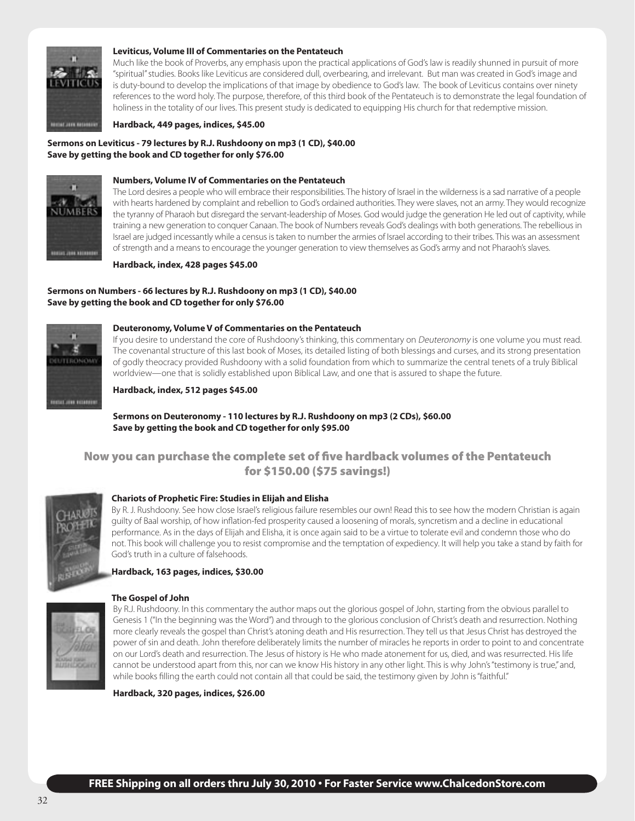

#### **Leviticus, Volume III of Commentaries on the Pentateuch**

Much like the book of Proverbs, any emphasis upon the practical applications of God's law is readily shunned in pursuit of more "spiritual" studies. Books like Leviticus are considered dull, overbearing, and irrelevant. But man was created in God's image and is duty-bound to develop the implications of that image by obedience to God's law. The book of Leviticus contains over ninety references to the word holy. The purpose, therefore, of this third book of the Pentateuch is to demonstrate the legal foundation of holiness in the totality of our lives. This present study is dedicated to equipping His church for that redemptive mission.

**Hardback, 449 pages, indices, \$45.00**

#### **Sermons on Leviticus - 79 lectures by R.J. Rushdoony on mp3 (1 CD), \$40.00 Save by getting the book and CD together for only \$76.00**



#### **Numbers, Volume IV of Commentaries on the Pentateuch**

The Lord desires a people who will embrace their responsibilities. The history of Israel in the wilderness is a sad narrative of a people with hearts hardened by complaint and rebellion to God's ordained authorities. They were slaves, not an army. They would recognize the tyranny of Pharaoh but disregard the servant-leadership of Moses. God would judge the generation He led out of captivity, while training a new generation to conquer Canaan. The book of Numbers reveals God's dealings with both generations. The rebellious in Israel are judged incessantly while a census is taken to number the armies of Israel according to their tribes. This was an assessment of strength and a means to encourage the younger generation to view themselves as God's army and not Pharaoh's slaves.

**Hardback, index, 428 pages \$45.00**

#### **Sermons on Numbers - 66 lectures by R.J. Rushdoony on mp3 (1 CD), \$40.00 Save by getting the book and CD together for only \$76.00**



#### **Deuteronomy, Volume V of Commentaries on the Pentateuch**

If you desire to understand the core of Rushdoony's thinking, this commentary on Deuteronomy is one volume you must read. The covenantal structure of this last book of Moses, its detailed listing of both blessings and curses, and its strong presentation of godly theocracy provided Rushdoony with a solid foundation from which to summarize the central tenets of a truly Biblical worldview—one that is solidly established upon Biblical Law, and one that is assured to shape the future.

**Hardback, index, 512 pages \$45.00**

#### **Sermons on Deuteronomy - 110 lectures by R.J. Rushdoony on mp3 (2 CDs), \$60.00 Save by getting the book and CD together for only \$95.00**

### Now you can purchase the complete set of five hardback volumes of the Pentateuch for \$150.00 (\$75 savings!)



#### **Chariots of Prophetic Fire: Studies in Elijah and Elisha**

By R. J. Rushdoony. See how close Israel's religious failure resembles our own! Read this to see how the modern Christian is again guilty of Baal worship, of how inflation-fed prosperity caused a loosening of morals, syncretism and a decline in educational performance. As in the days of Elijah and Elisha, it is once again said to be a virtue to tolerate evil and condemn those who do not. This book will challenge you to resist compromise and the temptation of expediency. It will help you take a stand by faith for God's truth in a culture of falsehoods.

#### **Hardback, 163 pages, indices, \$30.00**

### **The Gospel of John**

By R.J. Rushdoony. In this commentary the author maps out the glorious gospel of John, starting from the obvious parallel to Genesis 1 ("In the beginning was the Word") and through to the glorious conclusion of Christ's death and resurrection. Nothing more clearly reveals the gospel than Christ's atoning death and His resurrection. They tell us that Jesus Christ has destroyed the power of sin and death. John therefore deliberately limits the number of miracles he reports in order to point to and concentrate on our Lord's death and resurrection. The Jesus of history is He who made atonement for us, died, and was resurrected. His life cannot be understood apart from this, nor can we know His history in any other light. This is why John's "testimony is true," and, while books filling the earth could not contain all that could be said, the testimony given by John is "faithful."

**Hardback, 320 pages, indices, \$26.00**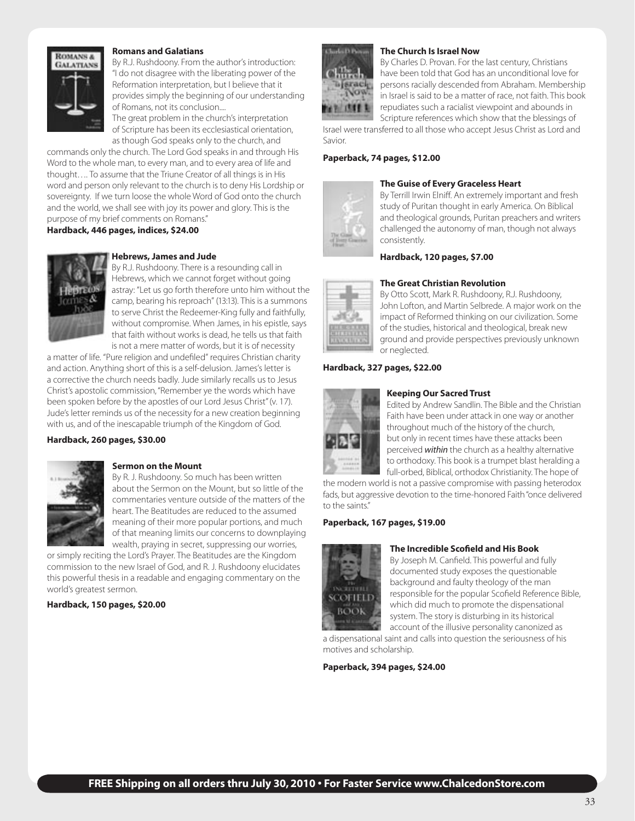

#### **Romans and Galatians**

By R.J. Rushdoony. From the author's introduction: "I do not disagree with the liberating power of the Reformation interpretation, but I believe that it provides simply the beginning of our understanding of Romans, not its conclusion....

The great problem in the church's interpretation of Scripture has been its ecclesiastical orientation, as though God speaks only to the church, and

commands only the church. The Lord God speaks in and through His Word to the whole man, to every man, and to every area of life and thought…. To assume that the Triune Creator of all things is in His word and person only relevant to the church is to deny His Lordship or sovereignty. If we turn loose the whole Word of God onto the church and the world, we shall see with joy its power and glory. This is the purpose of my brief comments on Romans."

**Hardback, 446 pages, indices, \$24.00**



#### **Hebrews, James and Jude**

By R.J. Rushdoony. There is a resounding call in Hebrews, which we cannot forget without going astray: "Let us go forth therefore unto him without the camp, bearing his reproach" (13:13). This is a summons to serve Christ the Redeemer-King fully and faithfully, without compromise. When James, in his epistle, says that faith without works is dead, he tells us that faith is not a mere matter of words, but it is of necessity

a matter of life. "Pure religion and undefiled" requires Christian charity and action. Anything short of this is a self-delusion. James's letter is a corrective the church needs badly. Jude similarly recalls us to Jesus Christ's apostolic commission, "Remember ye the words which have been spoken before by the apostles of our Lord Jesus Christ" (v. 17). Jude's letter reminds us of the necessity for a new creation beginning with us, and of the inescapable triumph of the Kingdom of God.

#### **Hardback, 260 pages, \$30.00**



#### **Sermon on the Mount**

By R. J. Rushdoony. So much has been written about the Sermon on the Mount, but so little of the commentaries venture outside of the matters of the heart. The Beatitudes are reduced to the assumed meaning of their more popular portions, and much of that meaning limits our concerns to downplaying wealth, praying in secret, suppressing our worries,

or simply reciting the Lord's Prayer. The Beatitudes are the Kingdom commission to the new Israel of God, and R. J. Rushdoony elucidates this powerful thesis in a readable and engaging commentary on the world's greatest sermon.

#### **Hardback, 150 pages, \$20.00**



#### **The Church Is Israel Now**

By Charles D. Provan. For the last century, Christians have been told that God has an unconditional love for persons racially descended from Abraham. Membership in Israel is said to be a matter of race, not faith. This book repudiates such a racialist viewpoint and abounds in Scripture references which show that the blessings of

Israel were transferred to all those who accept Jesus Christ as Lord and Savior.

#### **Paperback, 74 pages, \$12.00**



#### **The Guise of Every Graceless Heart**

By Terrill Irwin Elniff. An extremely important and fresh study of Puritan thought in early America. On Biblical and theological grounds, Puritan preachers and writers challenged the autonomy of man, though not always consistently.

**Hardback, 120 pages, \$7.00**



#### **The Great Christian Revolution**

By Otto Scott, Mark R. Rushdoony, R.J. Rushdoony, John Lofton, and Martin Selbrede. A major work on the impact of Reformed thinking on our civilization. Some of the studies, historical and theological, break new ground and provide perspectives previously unknown or neglected.

#### **Hardback, 327 pages, \$22.00**



#### **Keeping Our Sacred Trust**

Edited by Andrew Sandlin. The Bible and the Christian Faith have been under attack in one way or another throughout much of the history of the church, but only in recent times have these attacks been perceived *within* the church as a healthy alternative to orthodoxy. This book is a trumpet blast heralding a full-orbed, Biblical, orthodox Christianity. The hope of

the modern world is not a passive compromise with passing heterodox fads, but aggressive devotion to the time-honored Faith "once delivered to the saints"

#### **Paperback, 167 pages, \$19.00**



#### **The Incredible Scofield and His Book**

By Joseph M. Canfield. This powerful and fully documented study exposes the questionable background and faulty theology of the man responsible for the popular Scofield Reference Bible, which did much to promote the dispensational system. The story is disturbing in its historical account of the illusive personality canonized as

a dispensational saint and calls into question the seriousness of his motives and scholarship.

**Paperback, 394 pages, \$24.00**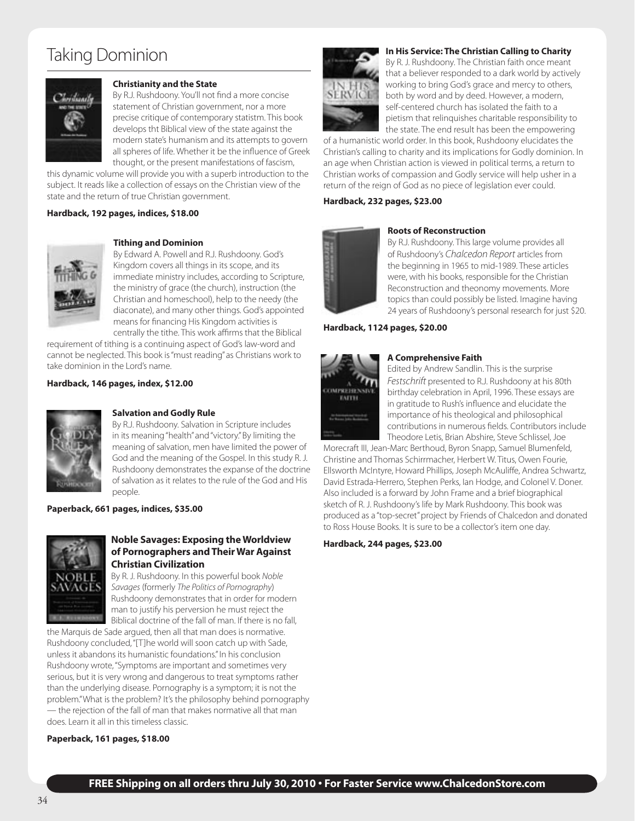### Taking Dominion



#### **Christianity and the State**

By R.J. Rushdoony. You'll not find a more concise statement of Christian government, nor a more precise critique of contemporary statistm. This book develops tht Biblical view of the state against the modern state's humanism and its attempts to govern all spheres of life. Whether it be the influence of Greek thought, or the present manifestations of fascism,

this dynamic volume will provide you with a superb introduction to the subject. It reads like a collection of essays on the Christian view of the state and the return of true Christian government.

#### **Hardback, 192 pages, indices, \$18.00**



#### **Tithing and Dominion**

By Edward A. Powell and R.J. Rushdoony. God's Kingdom covers all things in its scope, and its immediate ministry includes, according to Scripture, the ministry of grace (the church), instruction (the Christian and homeschool), help to the needy (the diaconate), and many other things. God's appointed means for financing His Kingdom activities is centrally the tithe. This work affirms that the Biblical

requirement of tithing is a continuing aspect of God's law-word and cannot be neglected. This book is "must reading" as Christians work to take dominion in the Lord's name.

**Hardback, 146 pages, index, \$12.00**



#### **Salvation and Godly Rule**

By R.J. Rushdoony. Salvation in Scripture includes in its meaning "health" and "victory." By limiting the meaning of salvation, men have limited the power of God and the meaning of the Gospel. In this study R. J. Rushdoony demonstrates the expanse of the doctrine of salvation as it relates to the rule of the God and His people.

#### **Paperback, 661 pages, indices, \$35.00**



#### **Noble Savages: Exposing the Worldview of Pornographers and Their War Against Christian Civilization**

By R. J. Rushdoony. In this powerful book *Noble Savages* (formerly *The Politics of Pornography*) Rushdoony demonstrates that in order for modern man to justify his perversion he must reject the Biblical doctrine of the fall of man. If there is no fall,

the Marquis de Sade argued, then all that man does is normative. Rushdoony concluded, "[T]he world will soon catch up with Sade, unless it abandons its humanistic foundations." In his conclusion Rushdoony wrote, "Symptoms are important and sometimes very serious, but it is very wrong and dangerous to treat symptoms rather than the underlying disease. Pornography is a symptom; it is not the problem." What is the problem? It's the philosophy behind pornography — the rejection of the fall of man that makes normative all that man does. Learn it all in this timeless classic.

#### **Paperback, 161 pages, \$18.00**



#### **In His Service: The Christian Calling to Charity**

By R. J. Rushdoony. The Christian faith once meant that a believer responded to a dark world by actively working to bring God's grace and mercy to others, both by word and by deed. However, a modern, self-centered church has isolated the faith to a pietism that relinquishes charitable responsibility to the state. The end result has been the empowering

of a humanistic world order. In this book, Rushdoony elucidates the Christian's calling to charity and its implications for Godly dominion. In an age when Christian action is viewed in political terms, a return to Christian works of compassion and Godly service will help usher in a return of the reign of God as no piece of legislation ever could.

#### **Hardback, 232 pages, \$23.00**



#### **Roots of Reconstruction**

**A Comprehensive Faith**

By R.J. Rushdoony. This large volume provides all of Rushdoony's *Chalcedon Report* articles from the beginning in 1965 to mid-1989. These articles were, with his books, responsible for the Christian Reconstruction and theonomy movements. More topics than could possibly be listed. Imagine having 24 years of Rushdoony's personal research for just \$20.

#### **Hardback, 1124 pages, \$20.00**



Edited by Andrew Sandlin. This is the surprise *Festschrift* presented to R.J. Rushdoony at his 80th birthday celebration in April, 1996. These essays are in gratitude to Rush's influence and elucidate the importance of his theological and philosophical contributions in numerous fields. Contributors include Theodore Letis, Brian Abshire, Steve Schlissel, Joe

Morecraft III, Jean-Marc Berthoud, Byron Snapp, Samuel Blumenfeld, Christine and Thomas Schirrmacher, Herbert W. Titus, Owen Fourie, Ellsworth McIntyre, Howard Phillips, Joseph McAuliffe, Andrea Schwartz, David Estrada-Herrero, Stephen Perks, Ian Hodge, and Colonel V. Doner. Also included is a forward by John Frame and a brief biographical sketch of R. J. Rushdoony's life by Mark Rushdoony. This book was produced as a "top-secret" project by Friends of Chalcedon and donated to Ross House Books. It is sure to be a collector's item one day.

#### **Hardback, 244 pages, \$23.00**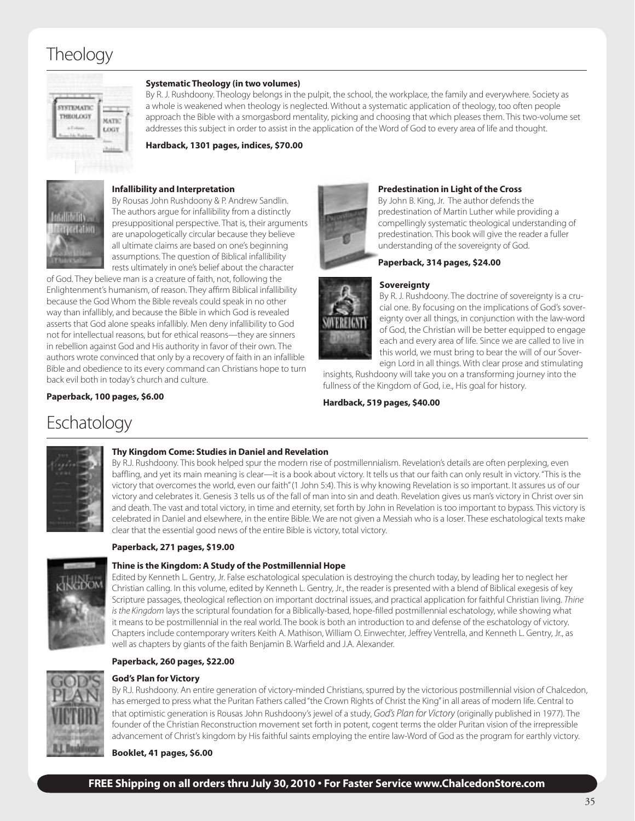### **Theology**



#### **Systematic Theology (in two volumes)**

By R. J. Rushdoony. Theology belongs in the pulpit, the school, the workplace, the family and everywhere. Society as a whole is weakened when theology is neglected. Without a systematic application of theology, too often people approach the Bible with a smorgasbord mentality, picking and choosing that which pleases them. This two-volume set addresses this subject in order to assist in the application of the Word of God to every area of life and thought.

**Hardback, 1301 pages, indices, \$70.00**



#### **Infallibility and Interpretation**

By Rousas John Rushdoony & P. Andrew Sandlin. The authors argue for infallibility from a distinctly presuppositional perspective. That is, their arguments are unapologetically circular because they believe all ultimate claims are based on one's beginning assumptions. The question of Biblical infallibility rests ultimately in one's belief about the character

of God. They believe man is a creature of faith, not, following the Enlightenment's humanism, of reason. They affirm Biblical infallibility because the God Whom the Bible reveals could speak in no other way than infallibly, and because the Bible in which God is revealed asserts that God alone speaks infallibly. Men deny infallibility to God not for intellectual reasons, but for ethical reasons—they are sinners in rebellion against God and His authority in favor of their own. The authors wrote convinced that only by a recovery of faith in an infallible Bible and obedience to its every command can Christians hope to turn back evil both in today's church and culture.

#### **Paperback, 100 pages, \$6.00**



#### **Predestination in Light of the Cross**

By John B. King, Jr. The author defends the predestination of Martin Luther while providing a compellingly systematic theological understanding of predestination. This book will give the reader a fuller understanding of the sovereignty of God.

#### **Paperback, 314 pages, \$24.00**



#### **Sovereignty**

By R. J. Rushdoony. The doctrine of sovereignty is a crucial one. By focusing on the implications of God's sovereignty over all things, in conjunction with the law-word of God, the Christian will be better equipped to engage each and every area of life. Since we are called to live in this world, we must bring to bear the will of our Sovereign Lord in all things. With clear prose and stimulating

insights, Rushdoony will take you on a transforming journey into the fullness of the Kingdom of God, i.e., His goal for history.

**Hardback, 519 pages, \$40.00**

### Eschatology



#### **Thy Kingdom Come: Studies in Daniel and Revelation**

By R.J. Rushdoony. This book helped spur the modern rise of postmillennialism. Revelation's details are often perplexing, even baffling, and yet its main meaning is clear—it is a book about victory. It tells us that our faith can only result in victory. "This is the victory that overcomes the world, even our faith" (1 John 5:4). This is why knowing Revelation is so important. It assures us of our victory and celebrates it. Genesis 3 tells us of the fall of man into sin and death. Revelation gives us man's victory in Christ over sin and death. The vast and total victory, in time and eternity, set forth by John in Revelation is too important to bypass. This victory is celebrated in Daniel and elsewhere, in the entire Bible. We are not given a Messiah who is a loser. These eschatological texts make clear that the essential good news of the entire Bible is victory, total victory.

#### **Thine is the Kingdom: A Study of the Postmillennial Hope**

Edited by Kenneth L. Gentry, Jr. False eschatological speculation is destroying the church today, by leading her to neglect her Christian calling. In this volume, edited by Kenneth L. Gentry, Jr., the reader is presented with a blend of Biblical exegesis of key Scripture passages, theological reflection on important doctrinal issues, and practical application for faithful Christian living. *Thine is the Kingdom* lays the scriptural foundation for a Biblically-based, hope-filled postmillennial eschatology, while showing what it means to be postmillennial in the real world. The book is both an introduction to and defense of the eschatology of victory. Chapters include contemporary writers Keith A. Mathison, William O. Einwechter, Jeffrey Ventrella, and Kenneth L. Gentry, Jr., as well as chapters by giants of the faith Benjamin B. Warfield and J.A. Alexander.

#### **Paperback, 260 pages, \$22.00**

**God's Plan for Victory**

**Paperback, 271 pages, \$19.00**



By R.J. Rushdoony. An entire generation of victory-minded Christians, spurred by the victorious postmillennial vision of Chalcedon, has emerged to press what the Puritan Fathers called "the Crown Rights of Christ the King" in all areas of modern life. Central to that optimistic generation is Rousas John Rushdoony's jewel of a study, *God's Plan for Victory* (originally published in 1977). The founder of the Christian Reconstruction movement set forth in potent, cogent terms the older Puritan vision of the irrepressible advancement of Christ's kingdom by His faithful saints employing the entire law-Word of God as the program for earthly victory.

#### **Booklet, 41 pages, \$6.00**